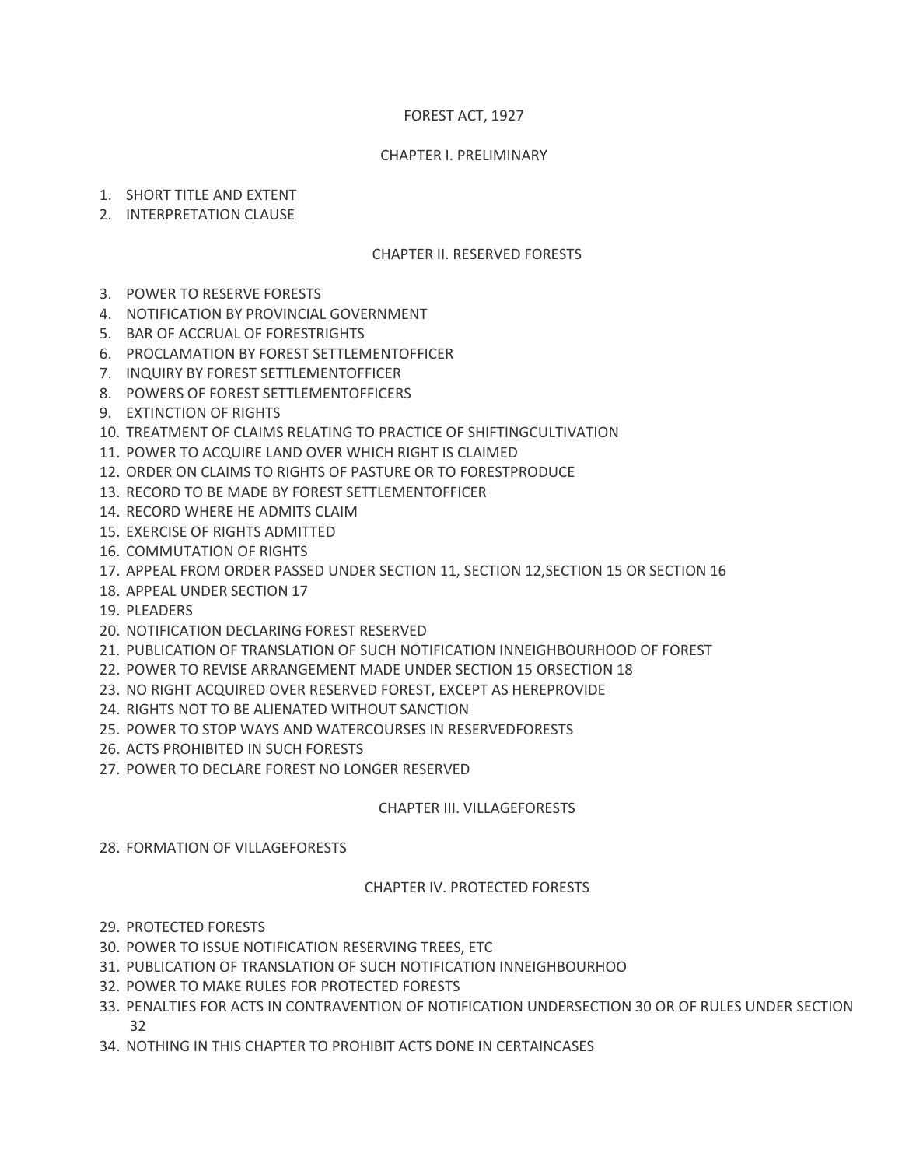# FOREST ACT, 1927

#### CHAPTER I. PRELIMINARY

- 1. SHORT TITLE AND EXTENT
- 2. INTERPRETATION CLAUSE

#### CHAPTER II. RESERVED FORESTS

- 3. POWER TO RESERVE FORESTS
- 4. NOTIFICATION BY PROVINCIAL GOVERNMENT
- 5. BAR OF ACCRUAL OF FORESTRIGHTS
- 6. PROCLAMATION BY FOREST SETTLEMENTOFFICER
- 7. INQUIRY BY FOREST SETTLEMENTOFFICER
- 8. POWERS OF FOREST SETTLEMENTOFFICERS
- 9. EXTINCTION OF RIGHTS
- 10. TREATMENT OF CLAIMS RELATING TO PRACTICE OF SHIFTINGCULTIVATION
- 11. POWER TO ACQUIRE LAND OVER WHICH RIGHT IS CLAIMED
- 12. ORDER ON CLAIMS TO RIGHTS OF PASTURE OR TO FORESTPRODUCE
- 13. RECORD TO BE MADE BY FOREST SETTLEMENTOFFICER
- 14. RECORD WHERE HE ADMITS CLAIM
- 15. EXERCISE OF RIGHTS ADMITTED
- 16. COMMUTATION OF RIGHTS
- 17. APPEAL FROM ORDER PASSED UNDER SECTION 11, SECTION 12,SECTION 15 OR SECTION 16
- 18. APPEAL UNDER SECTION 17
- 19. PLEADERS
- 20. NOTIFICATION DECLARING FOREST RESERVED
- 21. PUBLICATION OF TRANSLATION OF SUCH NOTIFICATION INNEIGHBOURHOOD OF FOREST
- 22. POWER TO REVISE ARRANGEMENT MADE UNDER SECTION 15 ORSECTION 18
- 23. NO RIGHT ACQUIRED OVER RESERVED FOREST, EXCEPT AS HEREPROVIDE
- 24. RIGHTS NOT TO BE ALIENATED WITHOUT SANCTION
- 25. POWER TO STOP WAYS AND WATERCOURSES IN RESERVEDFORESTS
- 26. ACTS PROHIBITED IN SUCH FORESTS
- 27. POWER TO DECLARE FOREST NO LONGER RESERVED

## CHAPTER III. VILLAGEFORESTS

28. FORMATION OF VILLAGEFORESTS

## CHAPTER IV. PROTECTED FORESTS

- 29. PROTECTED FORESTS
- 30. POWER TO ISSUE NOTIFICATION RESERVING TREES, ETC
- 31. PUBLICATION OF TRANSLATION OF SUCH NOTIFICATION INNEIGHBOURHOO
- 32. POWER TO MAKE RULES FOR PROTECTED FORESTS
- 33. PENALTIES FOR ACTS IN CONTRAVENTION OF NOTIFICATION UNDERSECTION 30 OR OF RULES UNDER SECTION 32
- 34. NOTHING IN THIS CHAPTER TO PROHIBIT ACTS DONE IN CERTAINCASES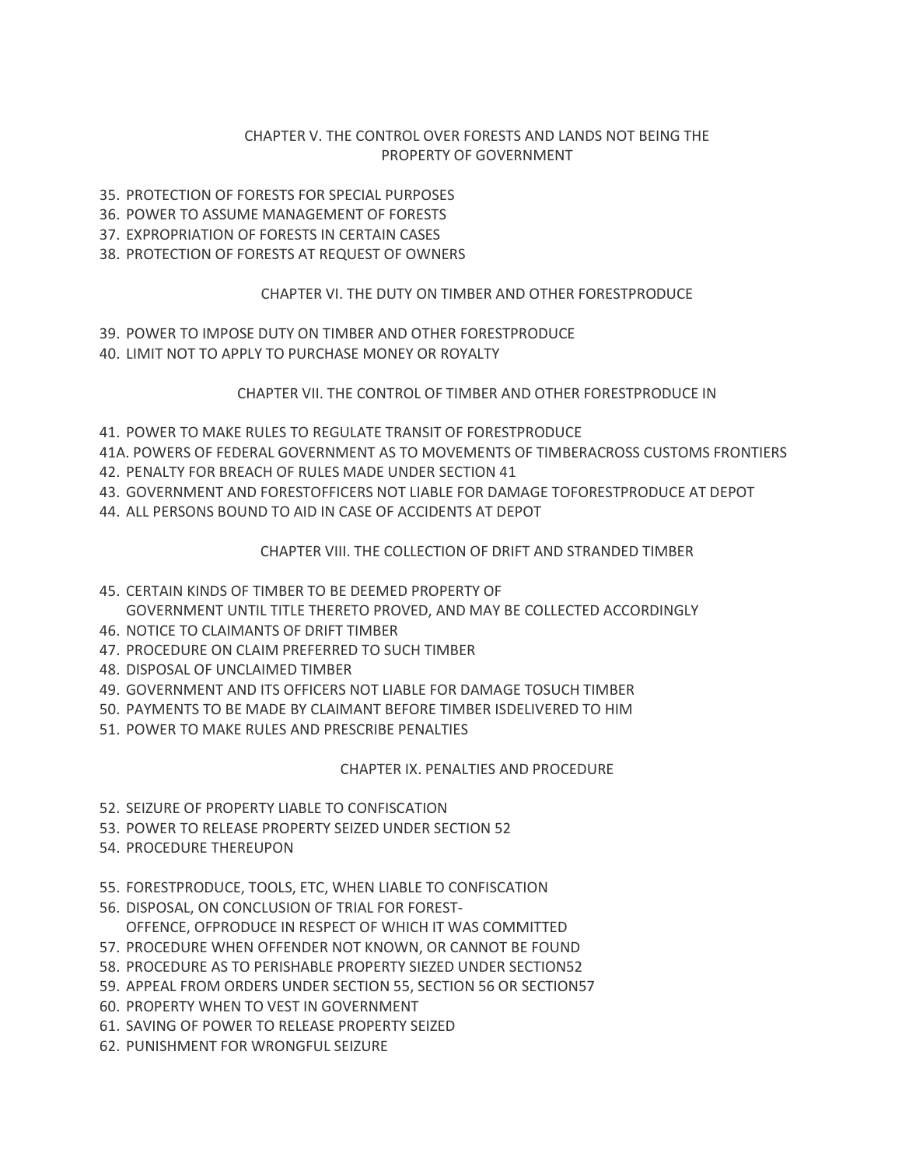## CHAPTER V. THE CONTROL OVER FORESTS AND LANDS NOT BEING THE PROPERTY OF GOVERNMENT

- 35. PROTECTION OF FORESTS FOR SPECIAL PURPOSES
- 36. POWER TO ASSUME MANAGEMENT OF FORESTS
- 37. EXPROPRIATION OF FORESTS IN CERTAIN CASES
- 38. PROTECTION OF FORESTS AT REQUEST OF OWNERS

## CHAPTER VI. THE DUTY ON TIMBER AND OTHER FORESTPRODUCE

- 39. POWER TO IMPOSE DUTY ON TIMBER AND OTHER FORESTPRODUCE
- 40. LIMIT NOT TO APPLY TO PURCHASE MONEY OR ROYALTY

## CHAPTER VII. THE CONTROL OF TIMBER AND OTHER FORESTPRODUCE IN

41. POWER TO MAKE RULES TO REGULATE TRANSIT OF FORESTPRODUCE

41A. POWERS OF FEDERAL GOVERNMENT AS TO MOVEMENTS OF TIMBERACROSS CUSTOMS FRONTIERS

- 42. PENALTY FOR BREACH OF RULES MADE UNDER SECTION 41
- 43. GOVERNMENT AND FORESTOFFICERS NOT LIABLE FOR DAMAGE TOFORESTPRODUCE AT DEPOT
- 44. ALL PERSONS BOUND TO AID IN CASE OF ACCIDENTS AT DEPOT

# CHAPTER VIII. THE COLLECTION OF DRIFT AND STRANDED TIMBER

# 45. CERTAIN KINDS OF TIMBER TO BE DEEMED PROPERTY OF GOVERNMENT UNTIL TITLE THERETO PROVED, AND MAY BE COLLECTED ACCORDINGLY

- 46. NOTICE TO CLAIMANTS OF DRIFT TIMBER
- 47. PROCEDURE ON CLAIM PREFERRED TO SUCH TIMBER
- 48. DISPOSAL OF UNCLAIMED TIMBER
- 49. GOVERNMENT AND ITS OFFICERS NOT LIABLE FOR DAMAGE TOSUCH TIMBER
- 50. PAYMENTS TO BE MADE BY CLAIMANT BEFORE TIMBER ISDELIVERED TO HIM
- 51. POWER TO MAKE RULES AND PRESCRIBE PENALTIES

## CHAPTER IX. PENALTIES AND PROCEDURE

- 52. SEIZURE OF PROPERTY LIABLE TO CONFISCATION
- 53. POWER TO RELEASE PROPERTY SEIZED UNDER SECTION 52
- 54. PROCEDURE THEREUPON
- 55. FORESTPRODUCE, TOOLS, ETC, WHEN LIABLE TO CONFISCATION
- 56. DISPOSAL, ON CONCLUSION OF TRIAL FOR FOREST-
	- OFFENCE, OFPRODUCE IN RESPECT OF WHICH IT WAS COMMITTED
- 57. PROCEDURE WHEN OFFENDER NOT KNOWN, OR CANNOT BE FOUND
- 58. PROCEDURE AS TO PERISHABLE PROPERTY SIEZED UNDER SECTION52
- 59. APPEAL FROM ORDERS UNDER SECTION 55, SECTION 56 OR SECTION57
- 60. PROPERTY WHEN TO VEST IN GOVERNMENT
- 61. SAVING OF POWER TO RELEASE PROPERTY SEIZED
- 62. PUNISHMENT FOR WRONGFUL SEIZURE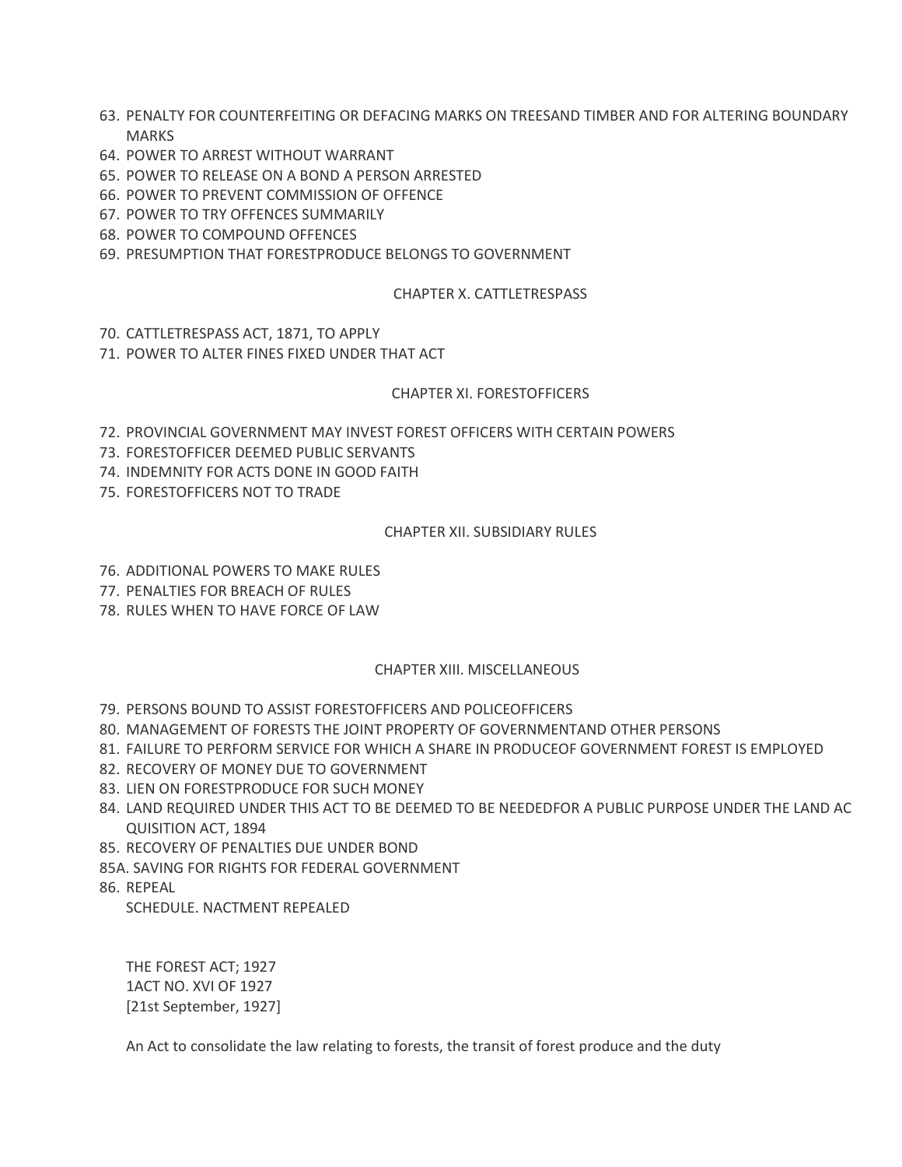- 63. PENALTY FOR COUNTERFEITING OR DEFACING MARKS ON TREESAND TIMBER AND FOR ALTERING BOUNDARY MARKS
- 64. POWER TO ARREST WITHOUT WARRANT
- 65. POWER TO RELEASE ON A BOND A PERSON ARRESTED
- 66. POWER TO PREVENT COMMISSION OF OFFENCE
- 67. POWER TO TRY OFFENCES SUMMARILY
- 68. POWER TO COMPOUND OFFENCES
- 69. PRESUMPTION THAT FORESTPRODUCE BELONGS TO GOVERNMENT

#### CHAPTER X. CATTLETRESPASS

- 70. CATTLETRESPASS ACT, 1871, TO APPLY
- 71. POWER TO ALTER FINES FIXED UNDER THAT ACT

#### CHAPTER XI. FORESTOFFICERS

- 72. PROVINCIAL GOVERNMENT MAY INVEST FOREST OFFICERS WITH CERTAIN POWERS
- 73. FORESTOFFICER DEEMED PUBLIC SERVANTS
- 74. INDEMNITY FOR ACTS DONE IN GOOD FAITH
- 75. FORESTOFFICERS NOT TO TRADE

#### CHAPTER XII. SUBSIDIARY RULES

- 76. ADDITIONAL POWERS TO MAKE RULES
- 77. PENALTIES FOR BREACH OF RULES
- 78. RULES WHEN TO HAVE FORCE OF LAW

#### CHAPTER XIII. MISCELLANEOUS

- 79. PERSONS BOUND TO ASSIST FORESTOFFICERS AND POLICEOFFICERS
- 80. MANAGEMENT OF FORESTS THE JOINT PROPERTY OF GOVERNMENTAND OTHER PERSONS
- 81. FAILURE TO PERFORM SERVICE FOR WHICH A SHARE IN PRODUCEOF GOVERNMENT FOREST IS EMPLOYED
- 82. RECOVERY OF MONEY DUE TO GOVERNMENT
- 83. LIEN ON FORESTPRODUCE FOR SUCH MONEY
- 84. LAND REQUIRED UNDER THIS ACT TO BE DEEMED TO BE NEEDEDFOR A PUBLIC PURPOSE UNDER THE LAND AC QUISITION ACT, 1894
- 85. RECOVERY OF PENALTIES DUE UNDER BOND
- 85A. SAVING FOR RIGHTS FOR FEDERAL GOVERNMENT
- 86. REPEAL

SCHEDULE. NACTMENT REPEALED

THE FOREST ACT; 1927 1ACT NO. XVI OF 1927 [21st September, 1927]

An Act to consolidate the law relating to forests, the transit of forest produce and the duty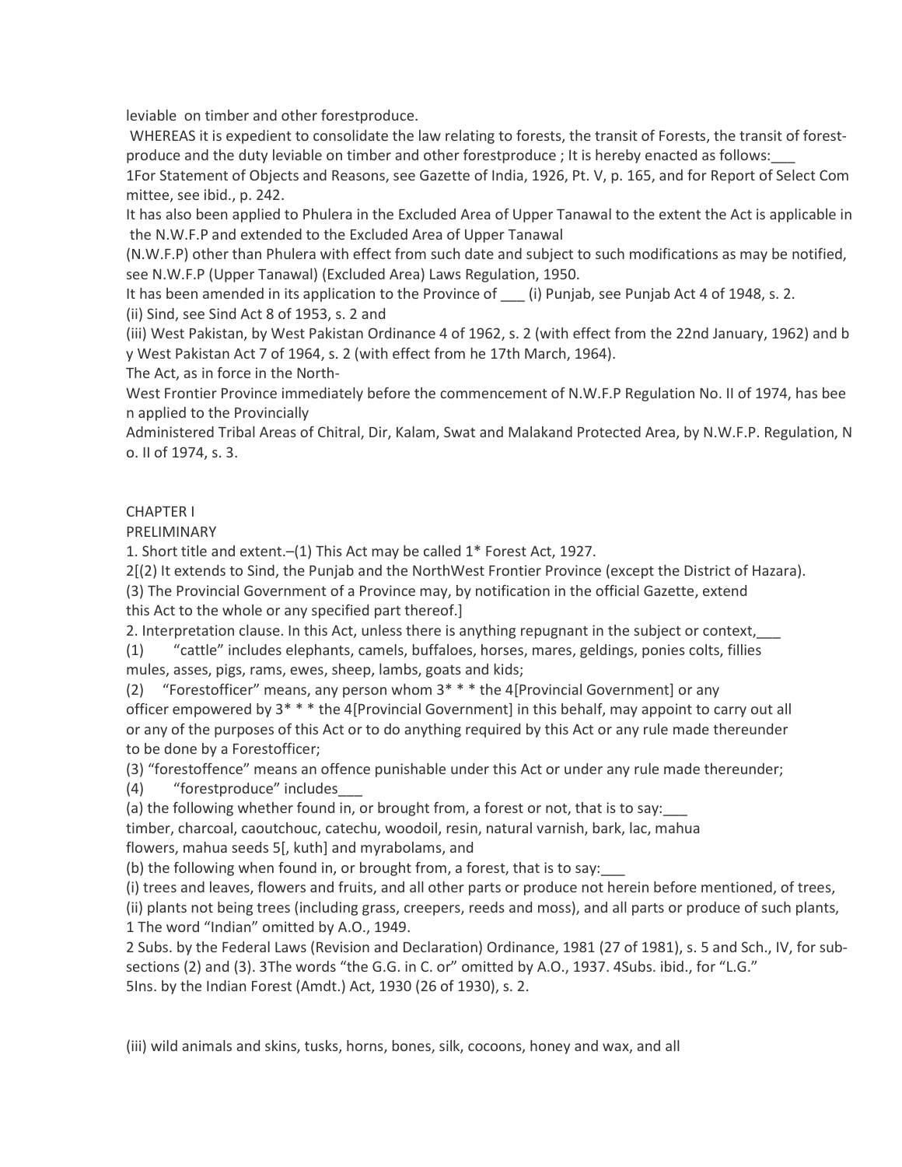leviable on timber and other forestproduce.

 WHEREAS it is expedient to consolidate the law relating to forests, the transit of Forests, the transit of forestproduce and the duty leviable on timber and other forestproduce ; It is hereby enacted as follows:\_\_\_

1For Statement of Objects and Reasons, see Gazette of India, 1926, Pt. V, p. 165, and for Report of Select Com mittee, see ibid., p. 242.

It has also been applied to Phulera in the Excluded Area of Upper Tanawal to the extent the Act is applicable in the N.W.F.P and extended to the Excluded Area of Upper Tanawal

(N.W.F.P) other than Phulera with effect from such date and subject to such modifications as may be notified, see N.W.F.P (Upper Tanawal) (Excluded Area) Laws Regulation, 1950.

It has been amended in its application to the Province of (i) Punjab, see Punjab Act 4 of 1948, s. 2. (ii) Sind, see Sind Act 8 of 1953, s. 2 and

(iii) West Pakistan, by West Pakistan Ordinance 4 of 1962, s. 2 (with effect from the 22nd January, 1962) and b y West Pakistan Act 7 of 1964, s. 2 (with effect from he 17th March, 1964).

The Act, as in force in the North-

West Frontier Province immediately before the commencement of N.W.F.P Regulation No. II of 1974, has bee n applied to the Provincially

Administered Tribal Areas of Chitral, Dir, Kalam, Swat and Malakand Protected Area, by N.W.F.P. Regulation, N o. II of 1974, s. 3.

## CHAPTER I

PRELIMINARY

1. Short title and extent.–(1) This Act may be called 1\* Forest Act, 1927.

2[(2) It extends to Sind, the Punjab and the NorthWest Frontier Province (except the District of Hazara).

(3) The Provincial Government of a Province may, by notification in the official Gazette, extend this Act to the whole or any specified part thereof.]

2. Interpretation clause. In this Act, unless there is anything repugnant in the subject or context,

(1) "cattle" includes elephants, camels, buffaloes, horses, mares, geldings, ponies colts, fillies mules, asses, pigs, rams, ewes, sheep, lambs, goats and kids;

(2) "Forestofficer" means, any person whom 3\* \* \* the 4[Provincial Government] or any officer empowered by 3\* \* \* the 4[Provincial Government] in this behalf, may appoint to carry out all or any of the purposes of this Act or to do anything required by this Act or any rule made thereunder to be done by a Forestofficer;

(3) "forestoffence" means an offence punishable under this Act or under any rule made thereunder;

(4) "forestproduce" includes\_\_\_

(a) the following whether found in, or brought from, a forest or not, that is to say:

timber, charcoal, caoutchouc, catechu, woodoil, resin, natural varnish, bark, lac, mahua flowers, mahua seeds 5[, kuth] and myrabolams, and

(b) the following when found in, or brought from, a forest, that is to say:

(i) trees and leaves, flowers and fruits, and all other parts or produce not herein before mentioned, of trees, (ii) plants not being trees (including grass, creepers, reeds and moss), and all parts or produce of such plants, 1 The word "Indian" omitted by A.O., 1949.

2 Subs. by the Federal Laws (Revision and Declaration) Ordinance, 1981 (27 of 1981), s. 5 and Sch., IV, for subsections (2) and (3). 3The words "the G.G. in C. or" omitted by A.O., 1937. 4Subs. ibid., for "L.G." 5Ins. by the Indian Forest (Amdt.) Act, 1930 (26 of 1930), s. 2.

(iii) wild animals and skins, tusks, horns, bones, silk, cocoons, honey and wax, and all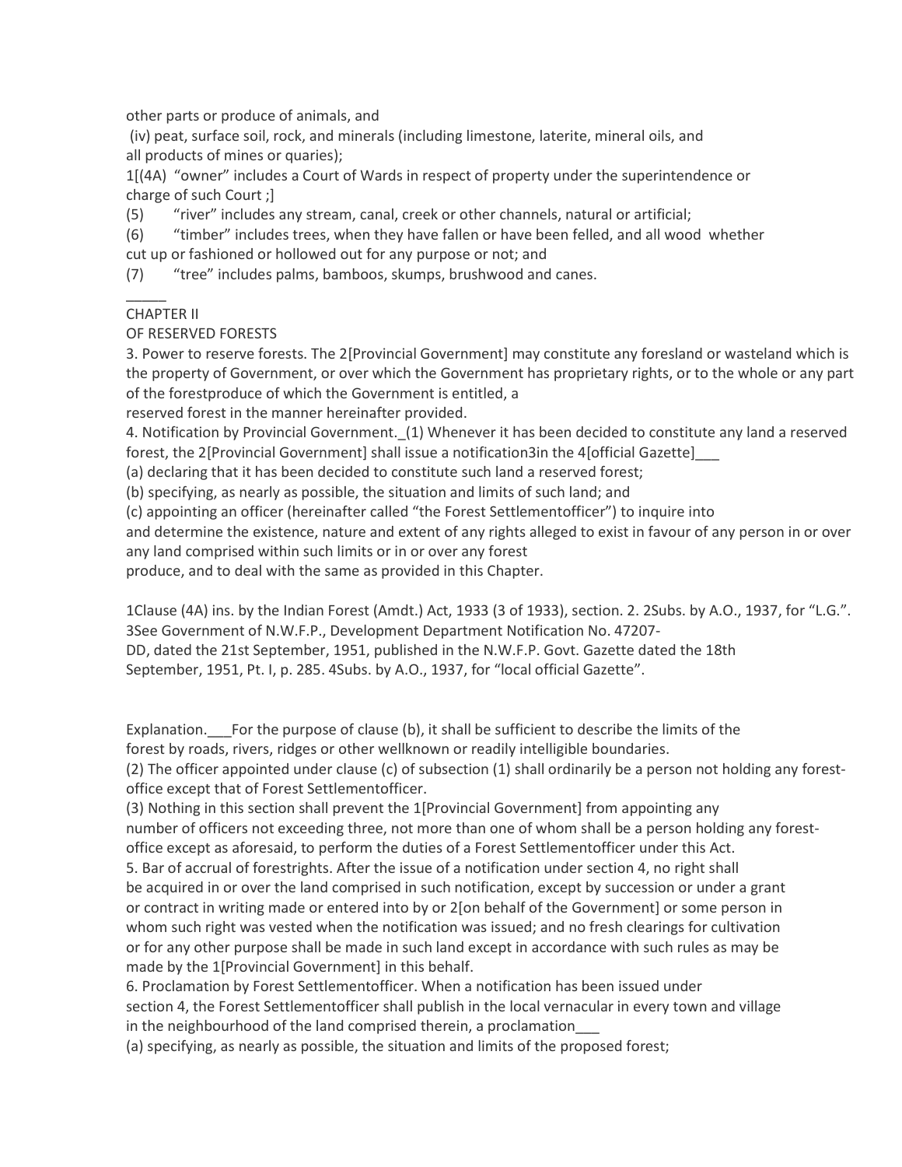other parts or produce of animals, and

 (iv) peat, surface soil, rock, and minerals (including limestone, laterite, mineral oils, and all products of mines or quaries);

1[(4A) "owner" includes a Court of Wards in respect of property under the superintendence or charge of such Court ;]

(5) "river" includes any stream, canal, creek or other channels, natural or artificial;

(6) "timber" includes trees, when they have fallen or have been felled, and all wood whether cut up or fashioned or hollowed out for any purpose or not; and

(7) "tree" includes palms, bamboos, skumps, brushwood and canes.

## CHAPTER II

 $\overline{\phantom{a}}$ 

OF RESERVED FORESTS

3. Power to reserve forests. The 2[Provincial Government] may constitute any foresland or wasteland which is the property of Government, or over which the Government has proprietary rights, or to the whole or any part of the forestproduce of which the Government is entitled, a

reserved forest in the manner hereinafter provided.

4. Notification by Provincial Government.\_(1) Whenever it has been decided to constitute any land a reserved forest, the 2[Provincial Government] shall issue a notification3in the 4[official Gazette]

(a) declaring that it has been decided to constitute such land a reserved forest;

(b) specifying, as nearly as possible, the situation and limits of such land; and

(c) appointing an officer (hereinafter called "the Forest Settlementofficer") to inquire into

and determine the existence, nature and extent of any rights alleged to exist in favour of any person in or over any land comprised within such limits or in or over any forest

produce, and to deal with the same as provided in this Chapter.

1Clause (4A) ins. by the Indian Forest (Amdt.) Act, 1933 (3 of 1933), section. 2. 2Subs. by A.O., 1937, for "L.G.". 3See Government of N.W.F.P., Development Department Notification No. 47207-

DD, dated the 21st September, 1951, published in the N.W.F.P. Govt. Gazette dated the 18th

September, 1951, Pt. I, p. 285. 4Subs. by A.O., 1937, for "local official Gazette".

Explanation. For the purpose of clause (b), it shall be sufficient to describe the limits of the forest by roads, rivers, ridges or other wellknown or readily intelligible boundaries.

(2) The officer appointed under clause (c) of subsection (1) shall ordinarily be a person not holding any forestoffice except that of Forest Settlementofficer.

(3) Nothing in this section shall prevent the 1[Provincial Government] from appointing any number of officers not exceeding three, not more than one of whom shall be a person holding any forestoffice except as aforesaid, to perform the duties of a Forest Settlementofficer under this Act.

5. Bar of accrual of forestrights. After the issue of a notification under section 4, no right shall be acquired in or over the land comprised in such notification, except by succession or under a grant or contract in writing made or entered into by or 2[on behalf of the Government] or some person in whom such right was vested when the notification was issued; and no fresh clearings for cultivation or for any other purpose shall be made in such land except in accordance with such rules as may be made by the 1[Provincial Government] in this behalf.

6. Proclamation by Forest Settlementofficer. When a notification has been issued under section 4, the Forest Settlementofficer shall publish in the local vernacular in every town and village in the neighbourhood of the land comprised therein, a proclamation

(a) specifying, as nearly as possible, the situation and limits of the proposed forest;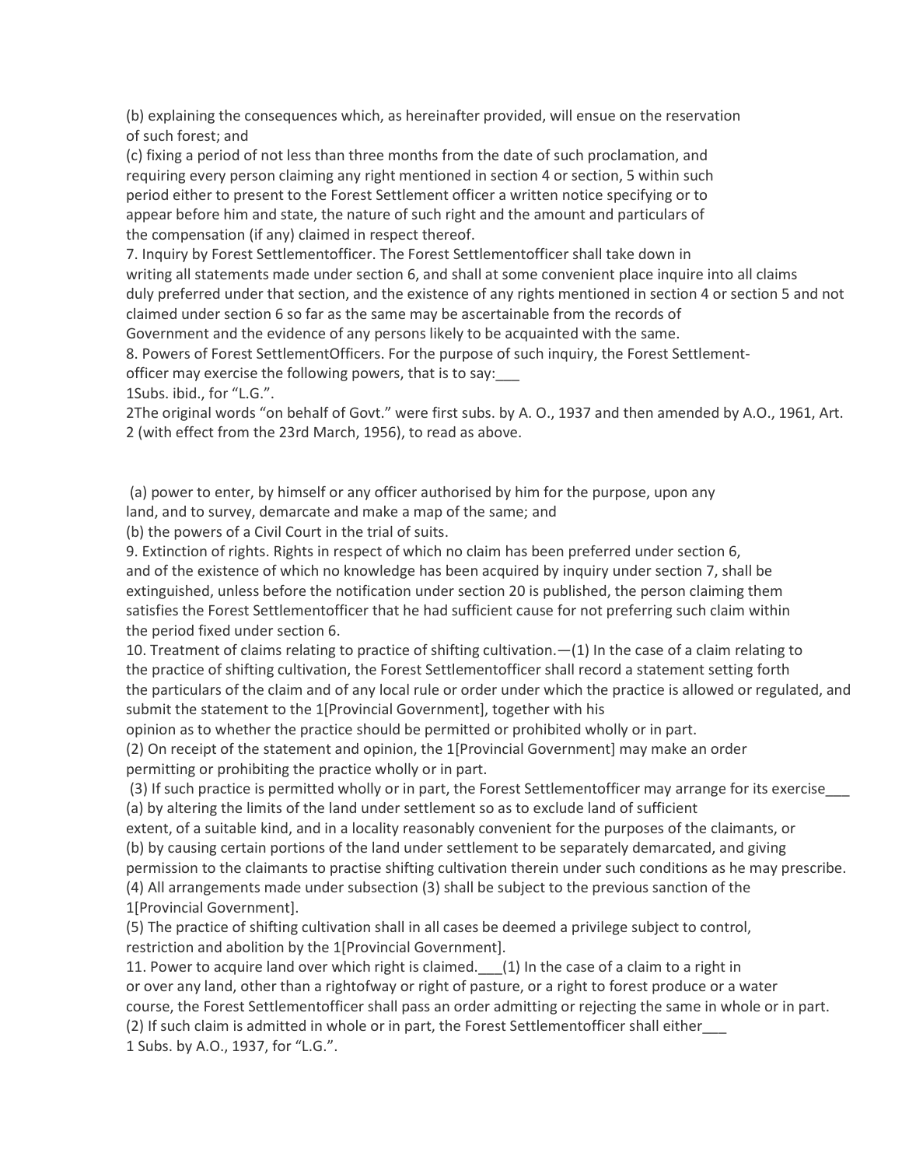(b) explaining the consequences which, as hereinafter provided, will ensue on the reservation of such forest; and

(c) fixing a period of not less than three months from the date of such proclamation, and requiring every person claiming any right mentioned in section 4 or section, 5 within such period either to present to the Forest Settlement officer a written notice specifying or to appear before him and state, the nature of such right and the amount and particulars of the compensation (if any) claimed in respect thereof.

7. Inquiry by Forest Settlementofficer. The Forest Settlementofficer shall take down in writing all statements made under section 6, and shall at some convenient place inquire into all claims duly preferred under that section, and the existence of any rights mentioned in section 4 or section 5 and not claimed under section 6 so far as the same may be ascertainable from the records of Government and the evidence of any persons likely to be acquainted with the same.

8. Powers of Forest SettlementOfficers. For the purpose of such inquiry, the Forest Settlementofficer may exercise the following powers, that is to say:\_\_\_

1Subs. ibid., for "L.G.".

2The original words "on behalf of Govt." were first subs. by A. O., 1937 and then amended by A.O., 1961, Art. 2 (with effect from the 23rd March, 1956), to read as above.

 (a) power to enter, by himself or any officer authorised by him for the purpose, upon any land, and to survey, demarcate and make a map of the same; and

(b) the powers of a Civil Court in the trial of suits.

9. Extinction of rights. Rights in respect of which no claim has been preferred under section 6, and of the existence of which no knowledge has been acquired by inquiry under section 7, shall be extinguished, unless before the notification under section 20 is published, the person claiming them satisfies the Forest Settlementofficer that he had sufficient cause for not preferring such claim within the period fixed under section 6.

10. Treatment of claims relating to practice of shifting cultivation.—(1) In the case of a claim relating to the practice of shifting cultivation, the Forest Settlementofficer shall record a statement setting forth the particulars of the claim and of any local rule or order under which the practice is allowed or regulated, and submit the statement to the 1[Provincial Government], together with his

opinion as to whether the practice should be permitted or prohibited wholly or in part. (2) On receipt of the statement and opinion, the 1[Provincial Government] may make an order permitting or prohibiting the practice wholly or in part.

 (3) If such practice is permitted wholly or in part, the Forest Settlementofficer may arrange for its exercise\_\_\_ (a) by altering the limits of the land under settlement so as to exclude land of sufficient

extent, of a suitable kind, and in a locality reasonably convenient for the purposes of the claimants, or (b) by causing certain portions of the land under settlement to be separately demarcated, and giving permission to the claimants to practise shifting cultivation therein under such conditions as he may prescribe. (4) All arrangements made under subsection (3) shall be subject to the previous sanction of the 1[Provincial Government].

(5) The practice of shifting cultivation shall in all cases be deemed a privilege subject to control, restriction and abolition by the 1[Provincial Government].

11. Power to acquire land over which right is claimed.  $(1)$  In the case of a claim to a right in or over any land, other than a rightofway or right of pasture, or a right to forest produce or a water course, the Forest Settlementofficer shall pass an order admitting or rejecting the same in whole or in part. (2) If such claim is admitted in whole or in part, the Forest Settlementofficer shall either\_\_\_ 1 Subs. by A.O., 1937, for "L.G.".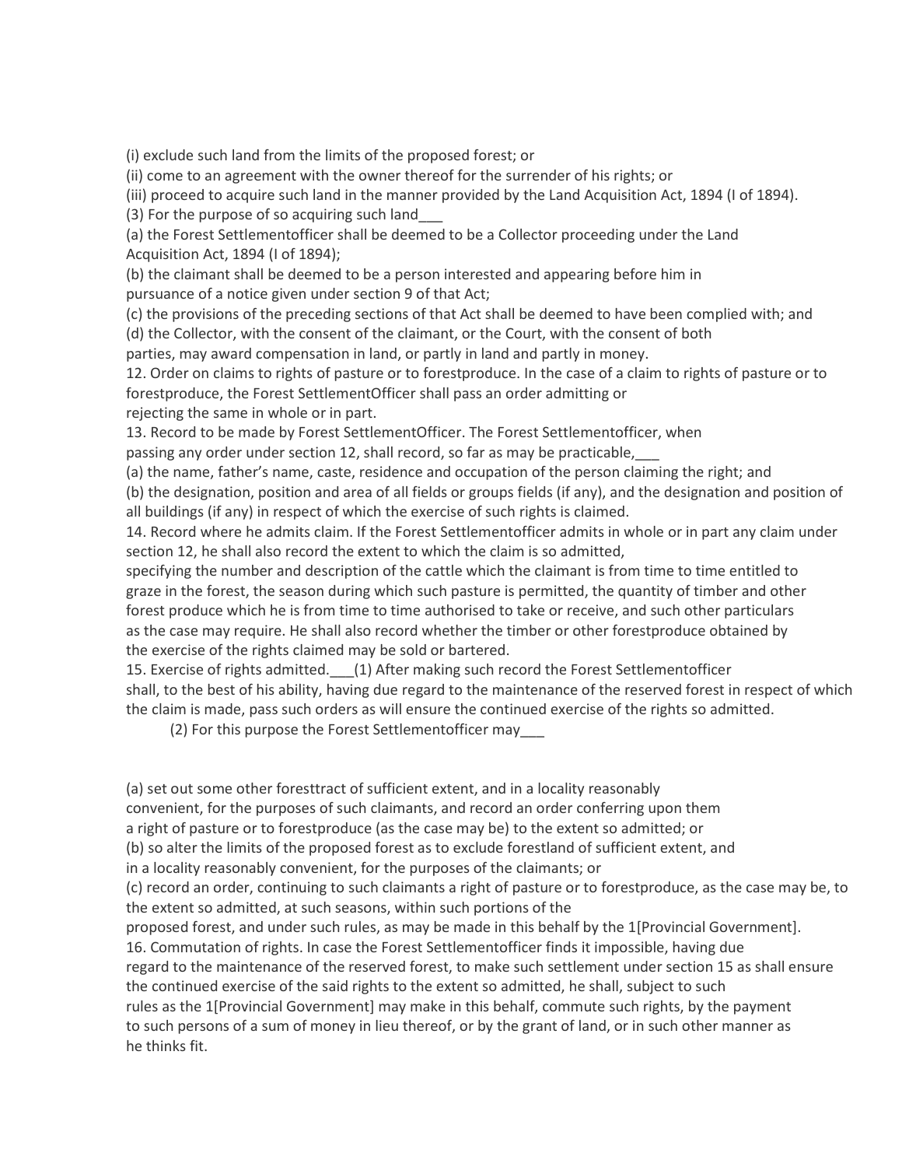(i) exclude such land from the limits of the proposed forest; or

(ii) come to an agreement with the owner thereof for the surrender of his rights; or

(iii) proceed to acquire such land in the manner provided by the Land Acquisition Act, 1894 (I of 1894).

(3) For the purpose of so acquiring such land\_\_\_

(a) the Forest Settlementofficer shall be deemed to be a Collector proceeding under the Land Acquisition Act, 1894 (I of 1894);

(b) the claimant shall be deemed to be a person interested and appearing before him in pursuance of a notice given under section 9 of that Act;

(c) the provisions of the preceding sections of that Act shall be deemed to have been complied with; and (d) the Collector, with the consent of the claimant, or the Court, with the consent of both

parties, may award compensation in land, or partly in land and partly in money.

12. Order on claims to rights of pasture or to forestproduce. In the case of a claim to rights of pasture or to forestproduce, the Forest SettlementOfficer shall pass an order admitting or rejecting the same in whole or in part.

13. Record to be made by Forest SettlementOfficer. The Forest Settlementofficer, when passing any order under section 12, shall record, so far as may be practicable,\_\_\_

(a) the name, father's name, caste, residence and occupation of the person claiming the right; and (b) the designation, position and area of all fields or groups fields (if any), and the designation and position of all buildings (if any) in respect of which the exercise of such rights is claimed.

14. Record where he admits claim. If the Forest Settlementofficer admits in whole or in part any claim under section 12, he shall also record the extent to which the claim is so admitted,

specifying the number and description of the cattle which the claimant is from time to time entitled to graze in the forest, the season during which such pasture is permitted, the quantity of timber and other forest produce which he is from time to time authorised to take or receive, and such other particulars as the case may require. He shall also record whether the timber or other forestproduce obtained by the exercise of the rights claimed may be sold or bartered.

15. Exercise of rights admitted. (1) After making such record the Forest Settlementofficer

shall, to the best of his ability, having due regard to the maintenance of the reserved forest in respect of which the claim is made, pass such orders as will ensure the continued exercise of the rights so admitted.

(2) For this purpose the Forest Settlementofficer may\_\_\_

(a) set out some other foresttract of sufficient extent, and in a locality reasonably

convenient, for the purposes of such claimants, and record an order conferring upon them

a right of pasture or to forestproduce (as the case may be) to the extent so admitted; or

(b) so alter the limits of the proposed forest as to exclude forestland of sufficient extent, and

in a locality reasonably convenient, for the purposes of the claimants; or

(c) record an order, continuing to such claimants a right of pasture or to forestproduce, as the case may be, to the extent so admitted, at such seasons, within such portions of the

proposed forest, and under such rules, as may be made in this behalf by the 1[Provincial Government].

16. Commutation of rights. In case the Forest Settlementofficer finds it impossible, having due

regard to the maintenance of the reserved forest, to make such settlement under section 15 as shall ensure the continued exercise of the said rights to the extent so admitted, he shall, subject to such

rules as the 1[Provincial Government] may make in this behalf, commute such rights, by the payment to such persons of a sum of money in lieu thereof, or by the grant of land, or in such other manner as he thinks fit.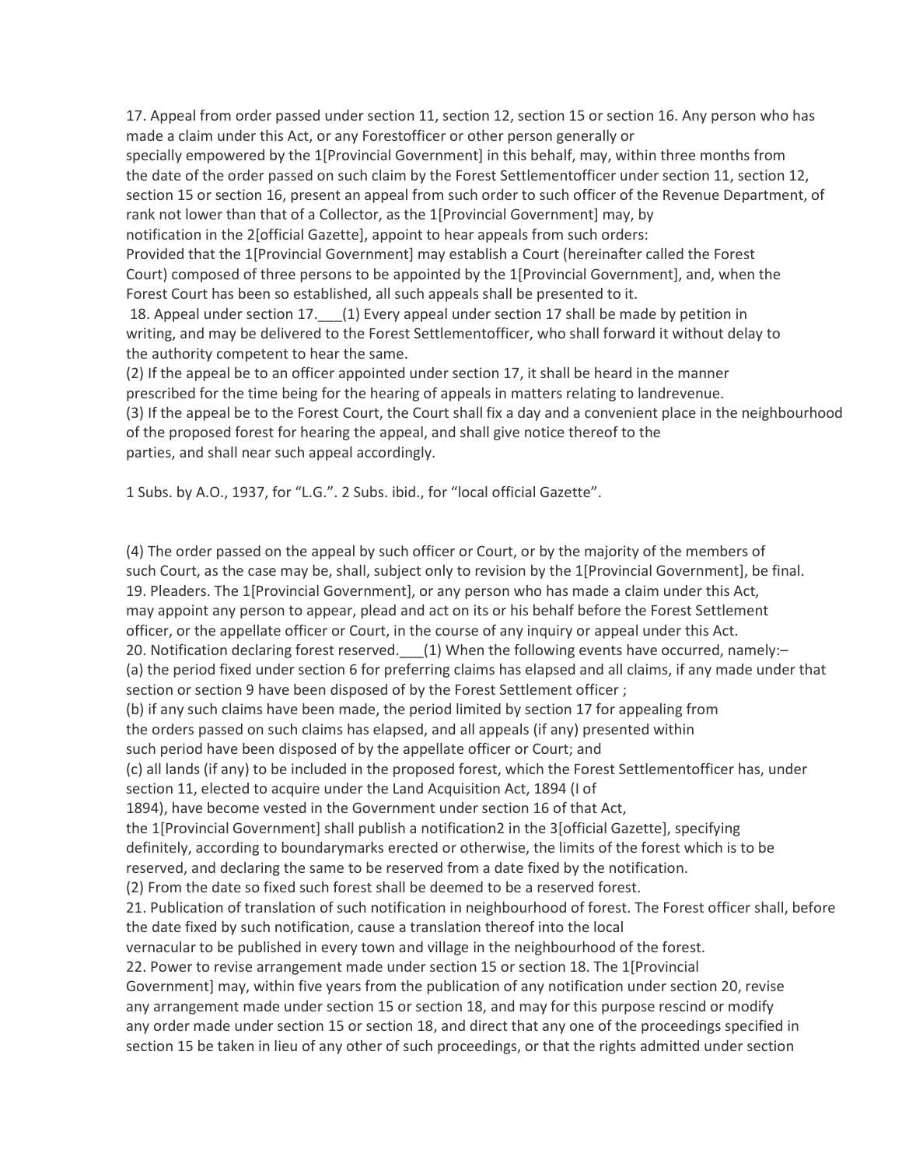17. Appeal from order passed under section 11, section 12, section 15 or section 16. Any person who has made a claim under this Act, or any Forestofficer or other person generally or specially empowered by the 1[Provincial Government] in this behalf, may, within three months from the date of the order passed on such claim by the Forest Settlementofficer under section 11, section 12, section 15 or section 16, present an appeal from such order to such officer of the Revenue Department, of rank not lower than that of a Collector, as the 1[Provincial Government] may, by notification in the 2[official Gazette], appoint to hear appeals from such orders: Provided that the 1[Provincial Government] may establish a Court (hereinafter called the Forest Court) composed of three persons to be appointed by the 1[Provincial Government], and, when the Forest Court has been so established, all such appeals shall be presented to it. 18. Appeal under section 17. (1) Every appeal under section 17 shall be made by petition in writing, and may be delivered to the Forest Settlementofficer, who shall forward it without delay to the authority competent to hear the same.

(2) If the appeal be to an officer appointed under section 17, it shall be heard in the manner prescribed for the time being for the hearing of appeals in matters relating to landrevenue.

(3) If the appeal be to the Forest Court, the Court shall fix a day and a convenient place in the neighbourhood of the proposed forest for hearing the appeal, and shall give notice thereof to the parties, and shall near such appeal accordingly.

1 Subs. by A.O., 1937, for "L.G.". 2 Subs. ibid., for "local official Gazette".

(4) The order passed on the appeal by such officer or Court, or by the majority of the members of such Court, as the case may be, shall, subject only to revision by the 1[Provincial Government], be final. 19. Pleaders. The 1[Provincial Government], or any person who has made a claim under this Act, may appoint any person to appear, plead and act on its or his behalf before the Forest Settlement officer, or the appellate officer or Court, in the course of any inquiry or appeal under this Act. 20. Notification declaring forest reserved. \_\_\_(1) When the following events have occurred, namely:-(a) the period fixed under section 6 for preferring claims has elapsed and all claims, if any made under that section or section 9 have been disposed of by the Forest Settlement officer ; (b) if any such claims have been made, the period limited by section 17 for appealing from the orders passed on such claims has elapsed, and all appeals (if any) presented within such period have been disposed of by the appellate officer or Court; and (c) all lands (if any) to be included in the proposed forest, which the Forest Settlementofficer has, under section 11, elected to acquire under the Land Acquisition Act, 1894 (I of 1894), have become vested in the Government under section 16 of that Act, the 1[Provincial Government] shall publish a notification2 in the 3[official Gazette], specifying definitely, according to boundarymarks erected or otherwise, the limits of the forest which is to be reserved, and declaring the same to be reserved from a date fixed by the notification. (2) From the date so fixed such forest shall be deemed to be a reserved forest. 21. Publication of translation of such notification in neighbourhood of forest. The Forest officer shall, before the date fixed by such notification, cause a translation thereof into the local vernacular to be published in every town and village in the neighbourhood of the forest. 22. Power to revise arrangement made under section 15 or section 18. The 1[Provincial Government] may, within five years from the publication of any notification under section 20, revise any arrangement made under section 15 or section 18, and may for this purpose rescind or modify any order made under section 15 or section 18, and direct that any one of the proceedings specified in section 15 be taken in lieu of any other of such proceedings, or that the rights admitted under section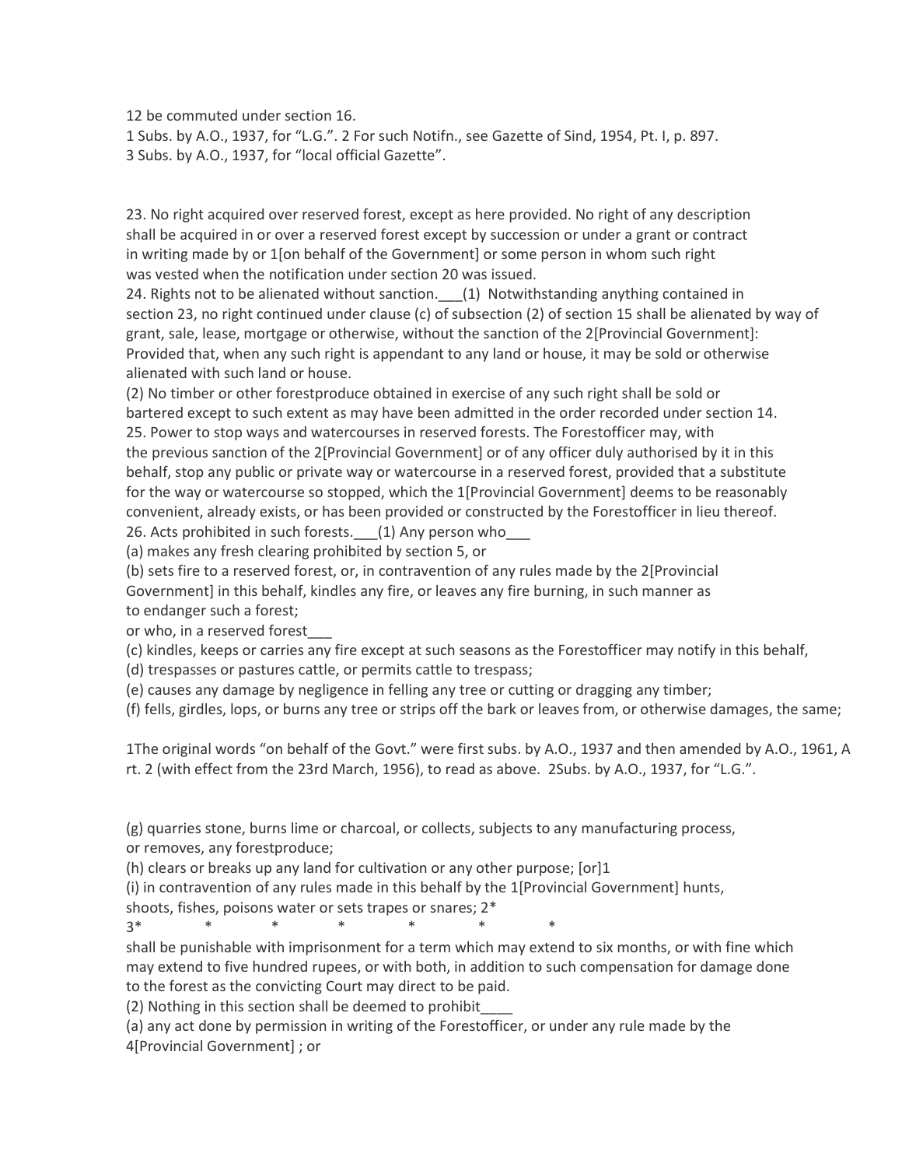12 be commuted under section 16.

1 Subs. by A.O., 1937, for "L.G.". 2 For such Notifn., see Gazette of Sind, 1954, Pt. I, p. 897. 3 Subs. by A.O., 1937, for "local official Gazette".

23. No right acquired over reserved forest, except as here provided. No right of any description shall be acquired in or over a reserved forest except by succession or under a grant or contract in writing made by or 1[on behalf of the Government] or some person in whom such right was vested when the notification under section 20 was issued.

24. Rights not to be alienated without sanction. (1) Notwithstanding anything contained in section 23, no right continued under clause (c) of subsection (2) of section 15 shall be alienated by way of grant, sale, lease, mortgage or otherwise, without the sanction of the 2[Provincial Government]: Provided that, when any such right is appendant to any land or house, it may be sold or otherwise alienated with such land or house.

(2) No timber or other forestproduce obtained in exercise of any such right shall be sold or bartered except to such extent as may have been admitted in the order recorded under section 14.

25. Power to stop ways and watercourses in reserved forests. The Forestofficer may, with the previous sanction of the 2[Provincial Government] or of any officer duly authorised by it in this behalf, stop any public or private way or watercourse in a reserved forest, provided that a substitute for the way or watercourse so stopped, which the 1[Provincial Government] deems to be reasonably convenient, already exists, or has been provided or constructed by the Forestofficer in lieu thereof.

26. Acts prohibited in such forests. (1) Any person who

(a) makes any fresh clearing prohibited by section 5, or

(b) sets fire to a reserved forest, or, in contravention of any rules made by the 2[Provincial Government] in this behalf, kindles any fire, or leaves any fire burning, in such manner as to endanger such a forest;

or who, in a reserved forest\_\_\_

(c) kindles, keeps or carries any fire except at such seasons as the Forestofficer may notify in this behalf,

(d) trespasses or pastures cattle, or permits cattle to trespass;

(e) causes any damage by negligence in felling any tree or cutting or dragging any timber;

(f) fells, girdles, lops, or burns any tree or strips off the bark or leaves from, or otherwise damages, the same;

1The original words "on behalf of the Govt." were first subs. by A.O., 1937 and then amended by A.O., 1961, A rt. 2 (with effect from the 23rd March, 1956), to read as above. 2Subs. by A.O., 1937, for "L.G.".

(g) quarries stone, burns lime or charcoal, or collects, subjects to any manufacturing process, or removes, any forestproduce;

(h) clears or breaks up any land for cultivation or any other purpose; [or]1

(i) in contravention of any rules made in this behalf by the 1[Provincial Government] hunts,

shoots, fishes, poisons water or sets trapes or snares; 2\*

3\* \* \* \* \* \* \*

shall be punishable with imprisonment for a term which may extend to six months, or with fine which may extend to five hundred rupees, or with both, in addition to such compensation for damage done to the forest as the convicting Court may direct to be paid.

(2) Nothing in this section shall be deemed to prohibit\_\_\_\_

(a) any act done by permission in writing of the Forestofficer, or under any rule made by the 4[Provincial Government] ; or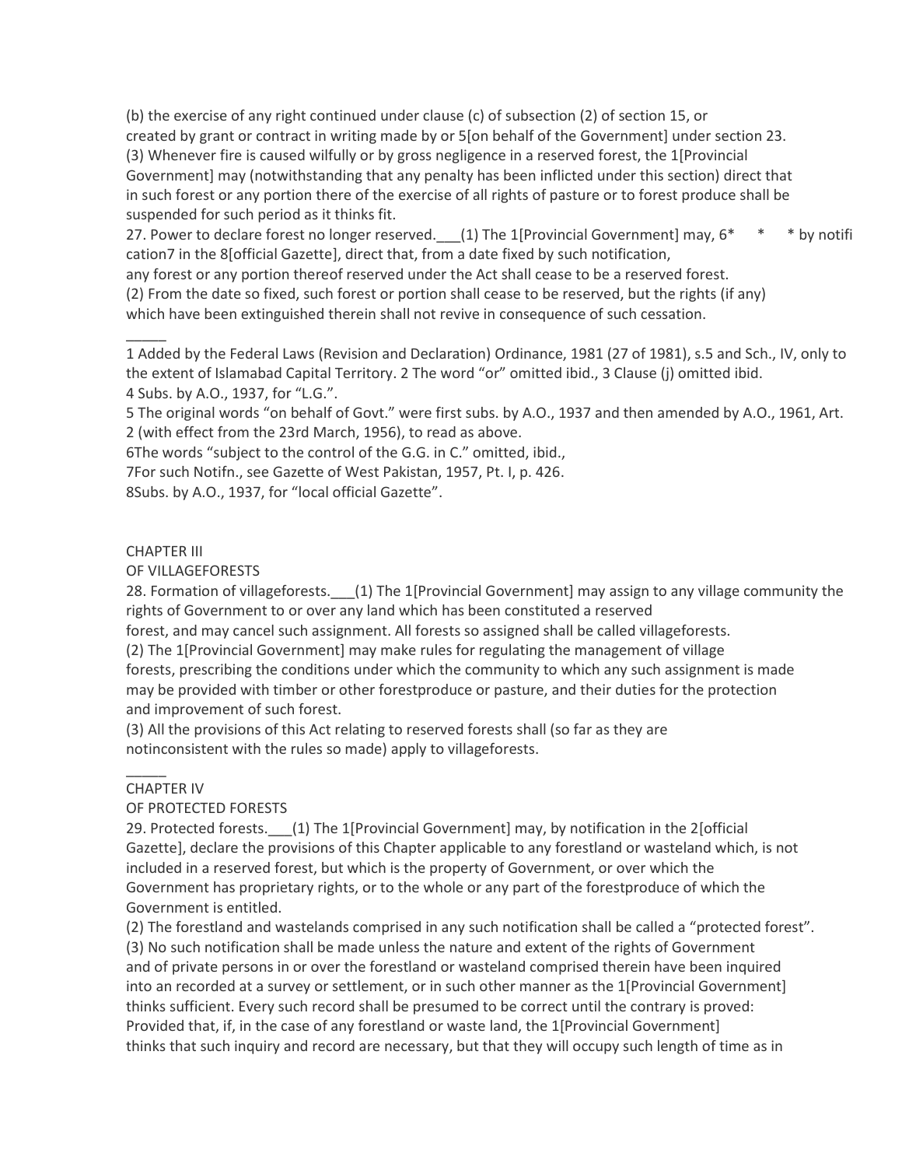(b) the exercise of any right continued under clause (c) of subsection (2) of section 15, or created by grant or contract in writing made by or 5[on behalf of the Government] under section 23. (3) Whenever fire is caused wilfully or by gross negligence in a reserved forest, the 1[Provincial Government] may (notwithstanding that any penalty has been inflicted under this section) direct that in such forest or any portion there of the exercise of all rights of pasture or to forest produce shall be suspended for such period as it thinks fit.

27. Power to declare forest no longer reserved. (1) The 1[Provincial Government] may, 6\* \* \* by notifi cation7 in the 8[official Gazette], direct that, from a date fixed by such notification,

any forest or any portion thereof reserved under the Act shall cease to be a reserved forest.

(2) From the date so fixed, such forest or portion shall cease to be reserved, but the rights (if any)

which have been extinguished therein shall not revive in consequence of such cessation.

1 Added by the Federal Laws (Revision and Declaration) Ordinance, 1981 (27 of 1981), s.5 and Sch., IV, only to the extent of Islamabad Capital Territory. 2 The word "or" omitted ibid., 3 Clause (j) omitted ibid. 4 Subs. by A.O., 1937, for "L.G.".

5 The original words "on behalf of Govt." were first subs. by A.O., 1937 and then amended by A.O., 1961, Art. 2 (with effect from the 23rd March, 1956), to read as above.

6The words "subject to the control of the G.G. in C." omitted, ibid.,

7For such Notifn., see Gazette of West Pakistan, 1957, Pt. I, p. 426.

8Subs. by A.O., 1937, for "local official Gazette".

## CHAPTER III

 $\overline{\phantom{a}}$ 

## OF VILLAGEFORESTS

28. Formation of villageforests. \_\_\_(1) The 1[Provincial Government] may assign to any village community the rights of Government to or over any land which has been constituted a reserved

forest, and may cancel such assignment. All forests so assigned shall be called villageforests.

(2) The 1[Provincial Government] may make rules for regulating the management of village

forests, prescribing the conditions under which the community to which any such assignment is made may be provided with timber or other forestproduce or pasture, and their duties for the protection and improvement of such forest.

(3) All the provisions of this Act relating to reserved forests shall (so far as they are notinconsistent with the rules so made) apply to villageforests.

# CHAPTER IV

 $\overline{\phantom{a}}$ 

# OF PROTECTED FORESTS

29. Protected forests.\_\_\_(1) The 1[Provincial Government] may, by notification in the 2[official Gazette], declare the provisions of this Chapter applicable to any forestland or wasteland which, is not included in a reserved forest, but which is the property of Government, or over which the Government has proprietary rights, or to the whole or any part of the forestproduce of which the Government is entitled.

(2) The forestland and wastelands comprised in any such notification shall be called a "protected forest". (3) No such notification shall be made unless the nature and extent of the rights of Government and of private persons in or over the forestland or wasteland comprised therein have been inquired into an recorded at a survey or settlement, or in such other manner as the 1[Provincial Government] thinks sufficient. Every such record shall be presumed to be correct until the contrary is proved: Provided that, if, in the case of any forestland or waste land, the 1[Provincial Government] thinks that such inquiry and record are necessary, but that they will occupy such length of time as in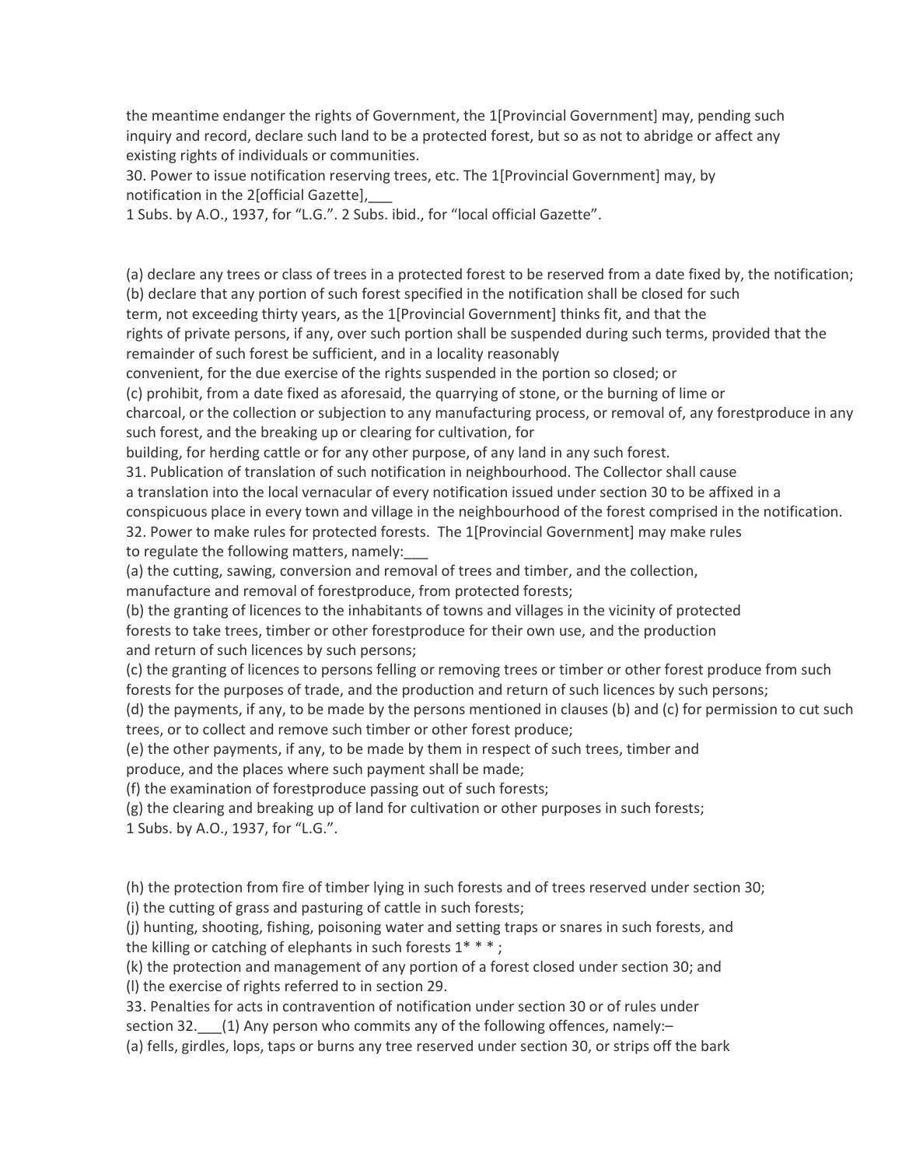the meantime endanger the rights of Government, the 1[Provincial Government] may, pending such inquiry and record, declare such land to be a protected forest, but so as not to abridge or affect any existing rights of individuals or communities.

30. Power to issue notification reserving trees, etc. The 1[Provincial Government] may, by notification in the 2[official Gazette],

1 Subs. by A.O., 1937, for "L.G.". 2 Subs. ibid., for "local official Gazette".

(a) declare any trees or class of trees in a protected forest to be reserved from a date fixed by, the notification; (b) declare that any portion of such forest specified in the notification shall be closed for such term, not exceeding thirty years, as the 1[Provincial Government] thinks fit, and that the

rights of private persons, if any, over such portion shall be suspended during such terms, provided that the remainder of such forest be sufficient, and in a locality reasonably

convenient, for the due exercise of the rights suspended in the portion so closed; or

(c) prohibit, from a date fixed as aforesaid, the quarrying of stone, or the burning of lime or

charcoal, or the collection or subjection to any manufacturing process, or removal of, any forestproduce in any such forest, and the breaking up or clearing for cultivation, for

building, for herding cattle or for any other purpose, of any land in any such forest.

31. Publication of translation of such notification in neighbourhood. The Collector shall cause

a translation into the local vernacular of every notification issued under section 30 to be affixed in a

conspicuous place in every town and village in the neighbourhood of the forest comprised in the notification.

32. Power to make rules for protected forests. The 1[Provincial Government] may make rules to regulate the following matters, namely:\_\_\_

(a) the cutting, sawing, conversion and removal of trees and timber, and the collection,

manufacture and removal of forestproduce, from protected forests;

(b) the granting of licences to the inhabitants of towns and villages in the vicinity of protected forests to take trees, timber or other forestproduce for their own use, and the production and return of such licences by such persons;

(c) the granting of licences to persons felling or removing trees or timber or other forest produce from such forests for the purposes of trade, and the production and return of such licences by such persons;

(d) the payments, if any, to be made by the persons mentioned in clauses (b) and (c) for permission to cut such trees, or to collect and remove such timber or other forest produce;

(e) the other payments, if any, to be made by them in respect of such trees, timber and produce, and the places where such payment shall be made;

(f) the examination of forestproduce passing out of such forests;

(g) the clearing and breaking up of land for cultivation or other purposes in such forests;

1 Subs. by A.O., 1937, for "L.G.".

(h) the protection from fire of timber lying in such forests and of trees reserved under section 30; (i) the cutting of grass and pasturing of cattle in such forests;

(j) hunting, shooting, fishing, poisoning water and setting traps or snares in such forests, and the killing or catching of elephants in such forests  $1***$ ;

(k) the protection and management of any portion of a forest closed under section 30; and (l) the exercise of rights referred to in section 29.

33. Penalties for acts in contravention of notification under section 30 or of rules under section 32. (1) Any person who commits any of the following offences, namely:-

(a) fells, girdles, lops, taps or burns any tree reserved under section 30, or strips off the bark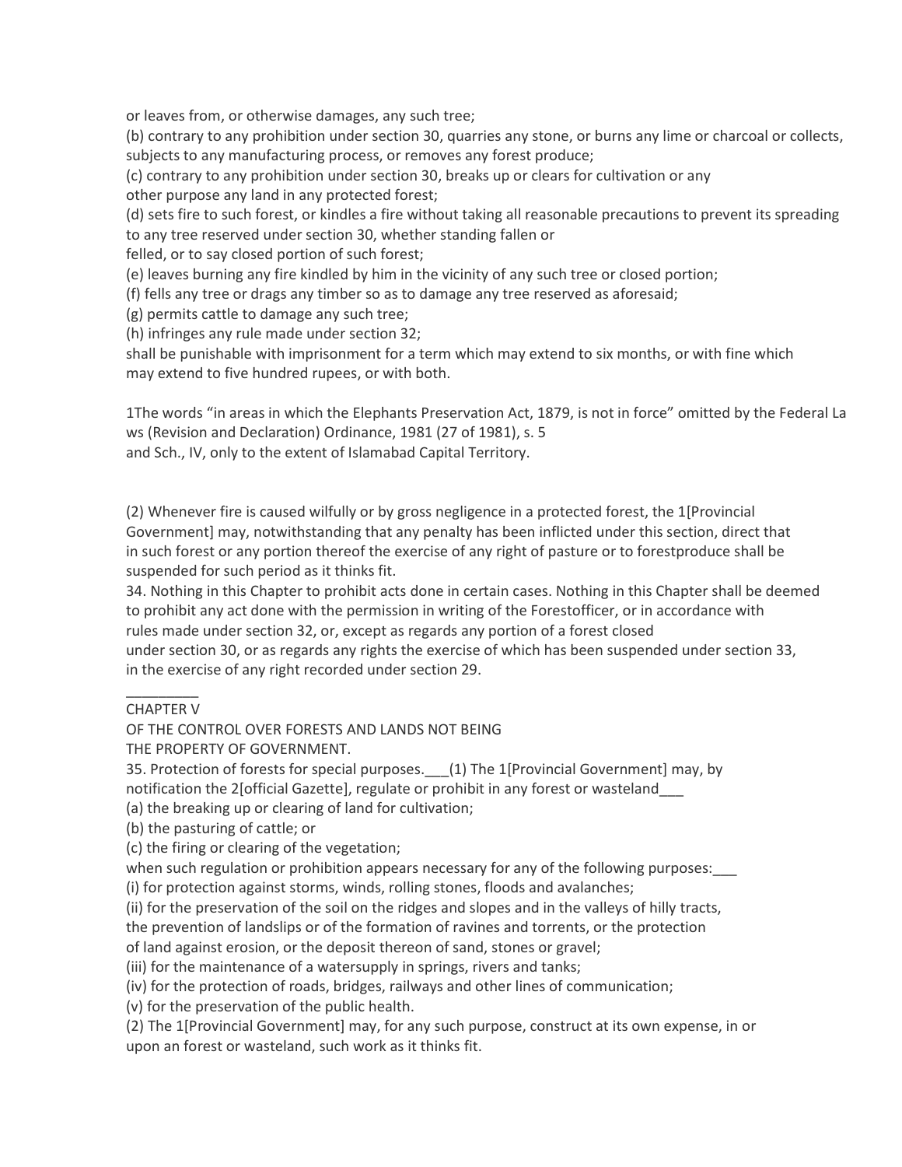or leaves from, or otherwise damages, any such tree;

(b) contrary to any prohibition under section 30, quarries any stone, or burns any lime or charcoal or collects, subjects to any manufacturing process, or removes any forest produce;

(c) contrary to any prohibition under section 30, breaks up or clears for cultivation or any

other purpose any land in any protected forest;

(d) sets fire to such forest, or kindles a fire without taking all reasonable precautions to prevent its spreading to any tree reserved under section 30, whether standing fallen or

felled, or to say closed portion of such forest;

(e) leaves burning any fire kindled by him in the vicinity of any such tree or closed portion;

(f) fells any tree or drags any timber so as to damage any tree reserved as aforesaid;

(g) permits cattle to damage any such tree;

(h) infringes any rule made under section 32;

shall be punishable with imprisonment for a term which may extend to six months, or with fine which may extend to five hundred rupees, or with both.

1The words "in areas in which the Elephants Preservation Act, 1879, is not in force" omitted by the Federal La ws (Revision and Declaration) Ordinance, 1981 (27 of 1981), s. 5

and Sch., IV, only to the extent of Islamabad Capital Territory.

(2) Whenever fire is caused wilfully or by gross negligence in a protected forest, the 1[Provincial Government] may, notwithstanding that any penalty has been inflicted under this section, direct that in such forest or any portion thereof the exercise of any right of pasture or to forestproduce shall be suspended for such period as it thinks fit.

34. Nothing in this Chapter to prohibit acts done in certain cases. Nothing in this Chapter shall be deemed to prohibit any act done with the permission in writing of the Forestofficer, or in accordance with rules made under section 32, or, except as regards any portion of a forest closed under section 30, or as regards any rights the exercise of which has been suspended under section 33, in the exercise of any right recorded under section 29.

## \_\_\_\_\_\_\_\_\_ CHAPTER V

OF THE CONTROL OVER FORESTS AND LANDS NOT BEING

THE PROPERTY OF GOVERNMENT.

35. Protection of forests for special purposes. \_\_\_ (1) The 1[Provincial Government] may, by notification the 2[official Gazette], regulate or prohibit in any forest or wasteland\_\_\_

(a) the breaking up or clearing of land for cultivation;

(b) the pasturing of cattle; or

(c) the firing or clearing of the vegetation;

when such regulation or prohibition appears necessary for any of the following purposes:

(i) for protection against storms, winds, rolling stones, floods and avalanches;

(ii) for the preservation of the soil on the ridges and slopes and in the valleys of hilly tracts,

the prevention of landslips or of the formation of ravines and torrents, or the protection

of land against erosion, or the deposit thereon of sand, stones or gravel;

(iii) for the maintenance of a watersupply in springs, rivers and tanks;

(iv) for the protection of roads, bridges, railways and other lines of communication;

(v) for the preservation of the public health.

(2) The 1[Provincial Government] may, for any such purpose, construct at its own expense, in or upon an forest or wasteland, such work as it thinks fit.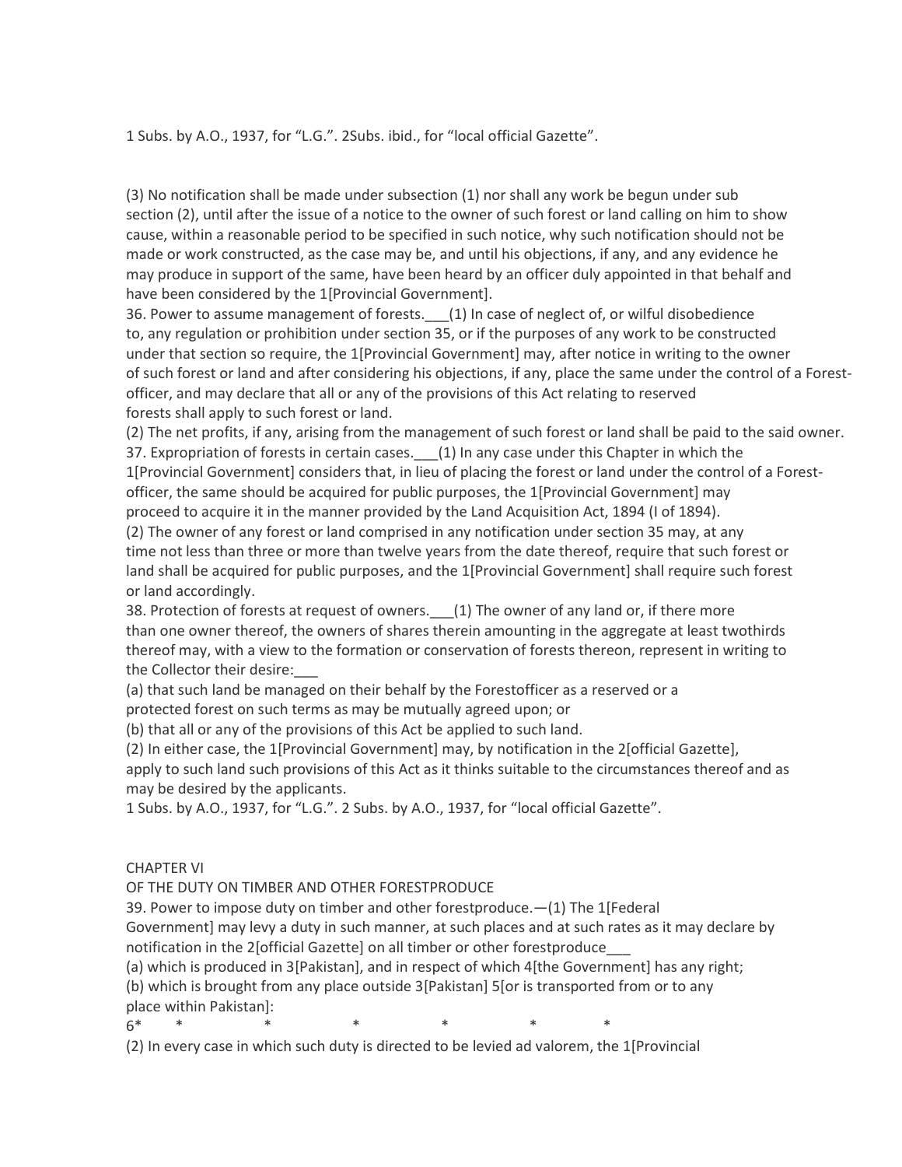1 Subs. by A.O., 1937, for "L.G.". 2Subs. ibid., for "local official Gazette".

(3) No notification shall be made under subsection (1) nor shall any work be begun under sub section (2), until after the issue of a notice to the owner of such forest or land calling on him to show cause, within a reasonable period to be specified in such notice, why such notification should not be made or work constructed, as the case may be, and until his objections, if any, and any evidence he may produce in support of the same, have been heard by an officer duly appointed in that behalf and have been considered by the 1[Provincial Government].

36. Power to assume management of forests. (1) In case of neglect of, or wilful disobedience to, any regulation or prohibition under section 35, or if the purposes of any work to be constructed under that section so require, the 1[Provincial Government] may, after notice in writing to the owner of such forest or land and after considering his objections, if any, place the same under the control of a Forestofficer, and may declare that all or any of the provisions of this Act relating to reserved forests shall apply to such forest or land.

(2) The net profits, if any, arising from the management of such forest or land shall be paid to the said owner.

37. Expropriation of forests in certain cases. (1) In any case under this Chapter in which the 1[Provincial Government] considers that, in lieu of placing the forest or land under the control of a Forestofficer, the same should be acquired for public purposes, the 1[Provincial Government] may proceed to acquire it in the manner provided by the Land Acquisition Act, 1894 (I of 1894).

(2) The owner of any forest or land comprised in any notification under section 35 may, at any time not less than three or more than twelve years from the date thereof, require that such forest or land shall be acquired for public purposes, and the 1[Provincial Government] shall require such forest or land accordingly.

38. Protection of forests at request of owners. (1) The owner of any land or, if there more than one owner thereof, the owners of shares therein amounting in the aggregate at least twothirds thereof may, with a view to the formation or conservation of forests thereon, represent in writing to the Collector their desire:

(a) that such land be managed on their behalf by the Forestofficer as a reserved or a protected forest on such terms as may be mutually agreed upon; or

(b) that all or any of the provisions of this Act be applied to such land.

(2) In either case, the 1[Provincial Government] may, by notification in the 2[official Gazette],

apply to such land such provisions of this Act as it thinks suitable to the circumstances thereof and as may be desired by the applicants.

1 Subs. by A.O., 1937, for "L.G.". 2 Subs. by A.O., 1937, for "local official Gazette".

## CHAPTER VI

OF THE DUTY ON TIMBER AND OTHER FORESTPRODUCE

39. Power to impose duty on timber and other forestproduce.—(1) The 1[Federal Government] may levy a duty in such manner, at such places and at such rates as it may declare by notification in the 2[official Gazette] on all timber or other forestproduce\_\_\_

(a) which is produced in 3[Pakistan], and in respect of which 4[the Government] has any right; (b) which is brought from any place outside 3[Pakistan] 5[or is transported from or to any place within Pakistan]:

6\* \* \* \* \* \* \*

(2) In every case in which such duty is directed to be levied ad valorem, the 1[Provincial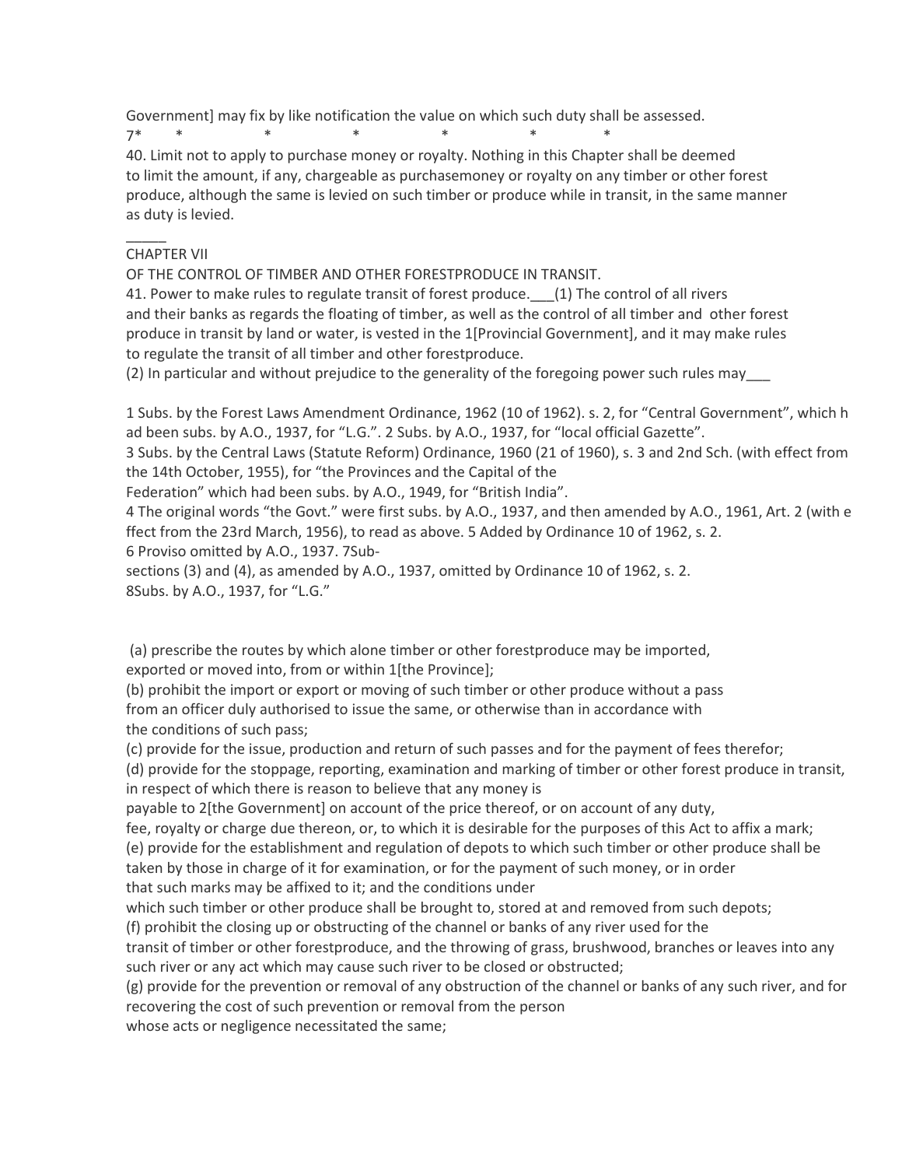Government] may fix by like notification the value on which such duty shall be assessed.

7\* \* \* \* \* \* \* \* \*

40. Limit not to apply to purchase money or royalty. Nothing in this Chapter shall be deemed to limit the amount, if any, chargeable as purchasemoney or royalty on any timber or other forest produce, although the same is levied on such timber or produce while in transit, in the same manner as duty is levied.

# CHAPTER VII

 $\overline{\phantom{a}}$ 

OF THE CONTROL OF TIMBER AND OTHER FORESTPRODUCE IN TRANSIT.

41. Power to make rules to regulate transit of forest produce. (1) The control of all rivers and their banks as regards the floating of timber, as well as the control of all timber and other forest produce in transit by land or water, is vested in the 1[Provincial Government], and it may make rules to regulate the transit of all timber and other forestproduce.

(2) In particular and without prejudice to the generality of the foregoing power such rules may\_\_\_

1 Subs. by the Forest Laws Amendment Ordinance, 1962 (10 of 1962). s. 2, for "Central Government", which h ad been subs. by A.O., 1937, for "L.G.". 2 Subs. by A.O., 1937, for "local official Gazette".

3 Subs. by the Central Laws (Statute Reform) Ordinance, 1960 (21 of 1960), s. 3 and 2nd Sch. (with effect from the 14th October, 1955), for "the Provinces and the Capital of the

Federation" which had been subs. by A.O., 1949, for "British India".

4 The original words "the Govt." were first subs. by A.O., 1937, and then amended by A.O., 1961, Art. 2 (with e ffect from the 23rd March, 1956), to read as above. 5 Added by Ordinance 10 of 1962, s. 2. 6 Proviso omitted by A.O., 1937. 7Sub-

sections (3) and (4), as amended by A.O., 1937, omitted by Ordinance 10 of 1962, s. 2. 8Subs. by A.O., 1937, for "L.G."

(a) prescribe the routes by which alone timber or other forestproduce may be imported,

exported or moved into, from or within 1[the Province];

(b) prohibit the import or export or moving of such timber or other produce without a pass from an officer duly authorised to issue the same, or otherwise than in accordance with the conditions of such pass;

(c) provide for the issue, production and return of such passes and for the payment of fees therefor;

(d) provide for the stoppage, reporting, examination and marking of timber or other forest produce in transit, in respect of which there is reason to believe that any money is

payable to 2[the Government] on account of the price thereof, or on account of any duty,

fee, royalty or charge due thereon, or, to which it is desirable for the purposes of this Act to affix a mark; (e) provide for the establishment and regulation of depots to which such timber or other produce shall be taken by those in charge of it for examination, or for the payment of such money, or in order that such marks may be affixed to it; and the conditions under

which such timber or other produce shall be brought to, stored at and removed from such depots;

(f) prohibit the closing up or obstructing of the channel or banks of any river used for the

transit of timber or other forestproduce, and the throwing of grass, brushwood, branches or leaves into any such river or any act which may cause such river to be closed or obstructed;

(g) provide for the prevention or removal of any obstruction of the channel or banks of any such river, and for recovering the cost of such prevention or removal from the person

whose acts or negligence necessitated the same;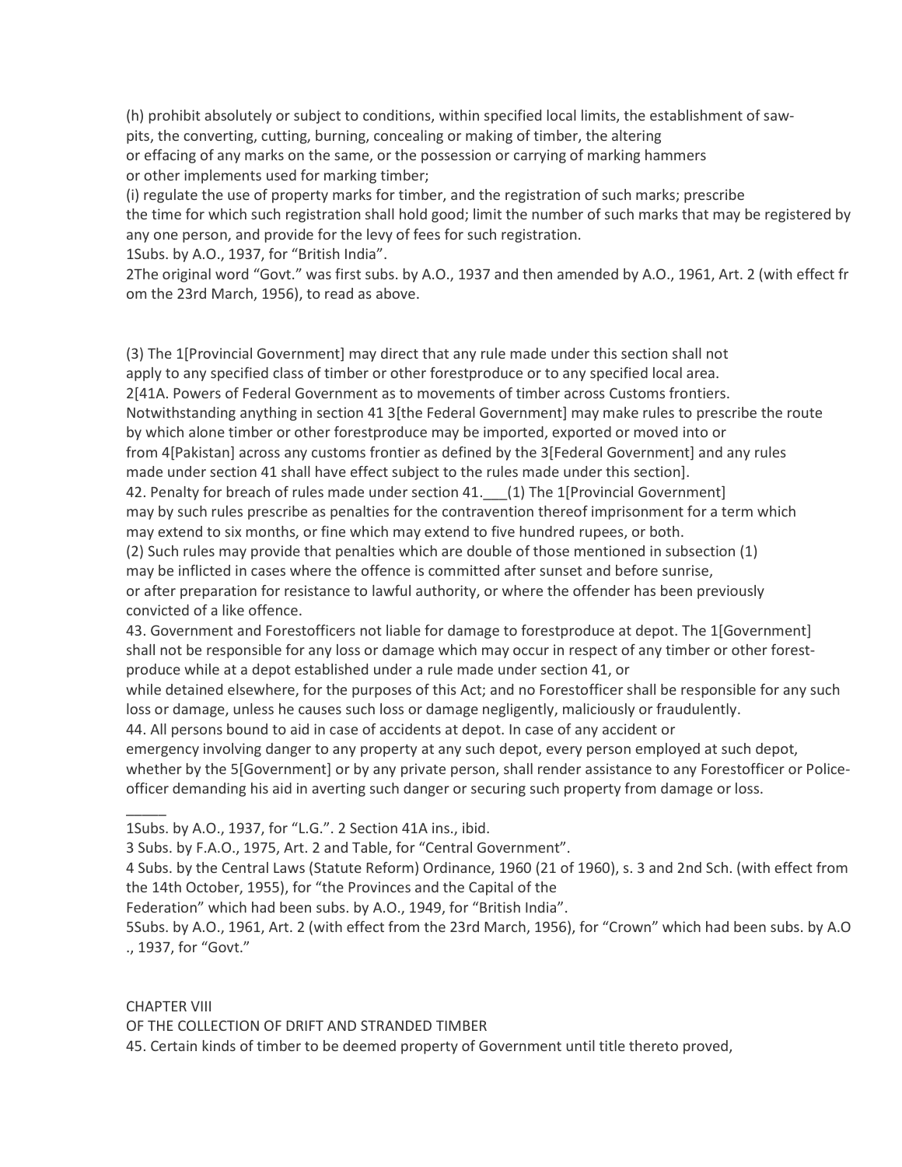(h) prohibit absolutely or subject to conditions, within specified local limits, the establishment of sawpits, the converting, cutting, burning, concealing or making of timber, the altering or effacing of any marks on the same, or the possession or carrying of marking hammers or other implements used for marking timber;

(i) regulate the use of property marks for timber, and the registration of such marks; prescribe the time for which such registration shall hold good; limit the number of such marks that may be registered by any one person, and provide for the levy of fees for such registration. 1Subs. by A.O., 1937, for "British India".

2The original word "Govt." was first subs. by A.O., 1937 and then amended by A.O., 1961, Art. 2 (with effect fr om the 23rd March, 1956), to read as above.

(3) The 1[Provincial Government] may direct that any rule made under this section shall not apply to any specified class of timber or other forestproduce or to any specified local area. 2[41A. Powers of Federal Government as to movements of timber across Customs frontiers. Notwithstanding anything in section 41 3[the Federal Government] may make rules to prescribe the route by which alone timber or other forestproduce may be imported, exported or moved into or from 4[Pakistan] across any customs frontier as defined by the 3[Federal Government] and any rules made under section 41 shall have effect subject to the rules made under this section]. 42. Penalty for breach of rules made under section 41. (1) The 1[Provincial Government] may by such rules prescribe as penalties for the contravention thereof imprisonment for a term which may extend to six months, or fine which may extend to five hundred rupees, or both. (2) Such rules may provide that penalties which are double of those mentioned in subsection (1) may be inflicted in cases where the offence is committed after sunset and before sunrise, or after preparation for resistance to lawful authority, or where the offender has been previously

convicted of a like offence.

43. Government and Forestofficers not liable for damage to forestproduce at depot. The 1[Government] shall not be responsible for any loss or damage which may occur in respect of any timber or other forestproduce while at a depot established under a rule made under section 41, or

while detained elsewhere, for the purposes of this Act; and no Forestofficer shall be responsible for any such loss or damage, unless he causes such loss or damage negligently, maliciously or fraudulently.

44. All persons bound to aid in case of accidents at depot. In case of any accident or

emergency involving danger to any property at any such depot, every person employed at such depot, whether by the 5[Government] or by any private person, shall render assistance to any Forestofficer or Policeofficer demanding his aid in averting such danger or securing such property from damage or loss.

1Subs. by A.O., 1937, for "L.G.". 2 Section 41A ins., ibid.

3 Subs. by F.A.O., 1975, Art. 2 and Table, for "Central Government".

4 Subs. by the Central Laws (Statute Reform) Ordinance, 1960 (21 of 1960), s. 3 and 2nd Sch. (with effect from the 14th October, 1955), for "the Provinces and the Capital of the

Federation" which had been subs. by A.O., 1949, for "British India".

5Subs. by A.O., 1961, Art. 2 (with effect from the 23rd March, 1956), for "Crown" which had been subs. by A.O ., 1937, for "Govt."

CHAPTER VIII

 $\overline{\phantom{a}}$ 

OF THE COLLECTION OF DRIFT AND STRANDED TIMBER

45. Certain kinds of timber to be deemed property of Government until title thereto proved,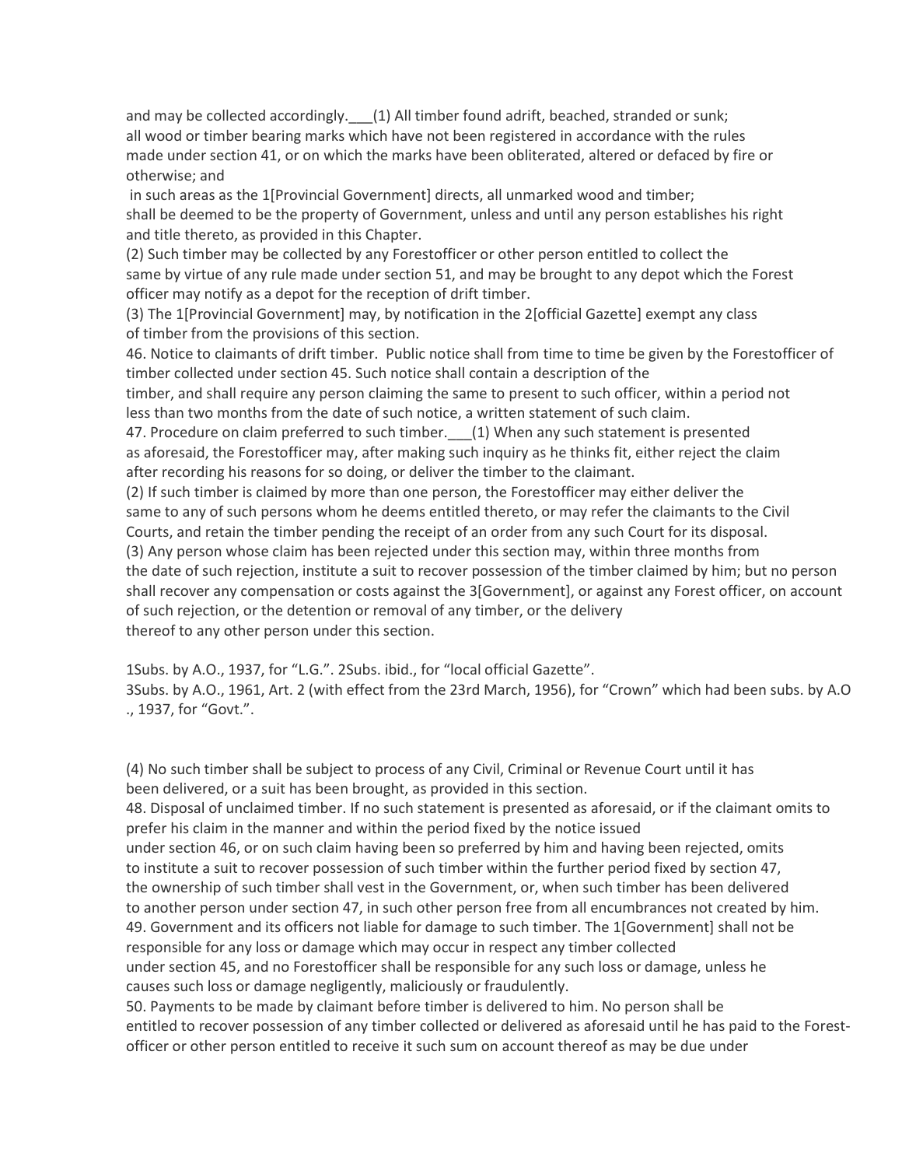and may be collected accordingly. [1] All timber found adrift, beached, stranded or sunk; all wood or timber bearing marks which have not been registered in accordance with the rules made under section 41, or on which the marks have been obliterated, altered or defaced by fire or otherwise; and

 in such areas as the 1[Provincial Government] directs, all unmarked wood and timber; shall be deemed to be the property of Government, unless and until any person establishes his right and title thereto, as provided in this Chapter.

(2) Such timber may be collected by any Forestofficer or other person entitled to collect the same by virtue of any rule made under section 51, and may be brought to any depot which the Forest officer may notify as a depot for the reception of drift timber.

(3) The 1[Provincial Government] may, by notification in the 2[official Gazette] exempt any class of timber from the provisions of this section.

46. Notice to claimants of drift timber. Public notice shall from time to time be given by the Forestofficer of timber collected under section 45. Such notice shall contain a description of the

timber, and shall require any person claiming the same to present to such officer, within a period not less than two months from the date of such notice, a written statement of such claim.

47. Procedure on claim preferred to such timber. (1) When any such statement is presented as aforesaid, the Forestofficer may, after making such inquiry as he thinks fit, either reject the claim after recording his reasons for so doing, or deliver the timber to the claimant.

(2) If such timber is claimed by more than one person, the Forestofficer may either deliver the same to any of such persons whom he deems entitled thereto, or may refer the claimants to the Civil Courts, and retain the timber pending the receipt of an order from any such Court for its disposal. (3) Any person whose claim has been rejected under this section may, within three months from the date of such rejection, institute a suit to recover possession of the timber claimed by him; but no person shall recover any compensation or costs against the 3[Government], or against any Forest officer, on account of such rejection, or the detention or removal of any timber, or the delivery thereof to any other person under this section.

1Subs. by A.O., 1937, for "L.G.". 2Subs. ibid., for "local official Gazette". 3Subs. by A.O., 1961, Art. 2 (with effect from the 23rd March, 1956), for "Crown" which had been subs. by A.O ., 1937, for "Govt.".

(4) No such timber shall be subject to process of any Civil, Criminal or Revenue Court until it has been delivered, or a suit has been brought, as provided in this section.

48. Disposal of unclaimed timber. If no such statement is presented as aforesaid, or if the claimant omits to prefer his claim in the manner and within the period fixed by the notice issued under section 46, or on such claim having been so preferred by him and having been rejected, omits to institute a suit to recover possession of such timber within the further period fixed by section 47, the ownership of such timber shall vest in the Government, or, when such timber has been delivered to another person under section 47, in such other person free from all encumbrances not created by him. 49. Government and its officers not liable for damage to such timber. The 1[Government] shall not be responsible for any loss or damage which may occur in respect any timber collected under section 45, and no Forestofficer shall be responsible for any such loss or damage, unless he causes such loss or damage negligently, maliciously or fraudulently.

50. Payments to be made by claimant before timber is delivered to him. No person shall be entitled to recover possession of any timber collected or delivered as aforesaid until he has paid to the Forestofficer or other person entitled to receive it such sum on account thereof as may be due under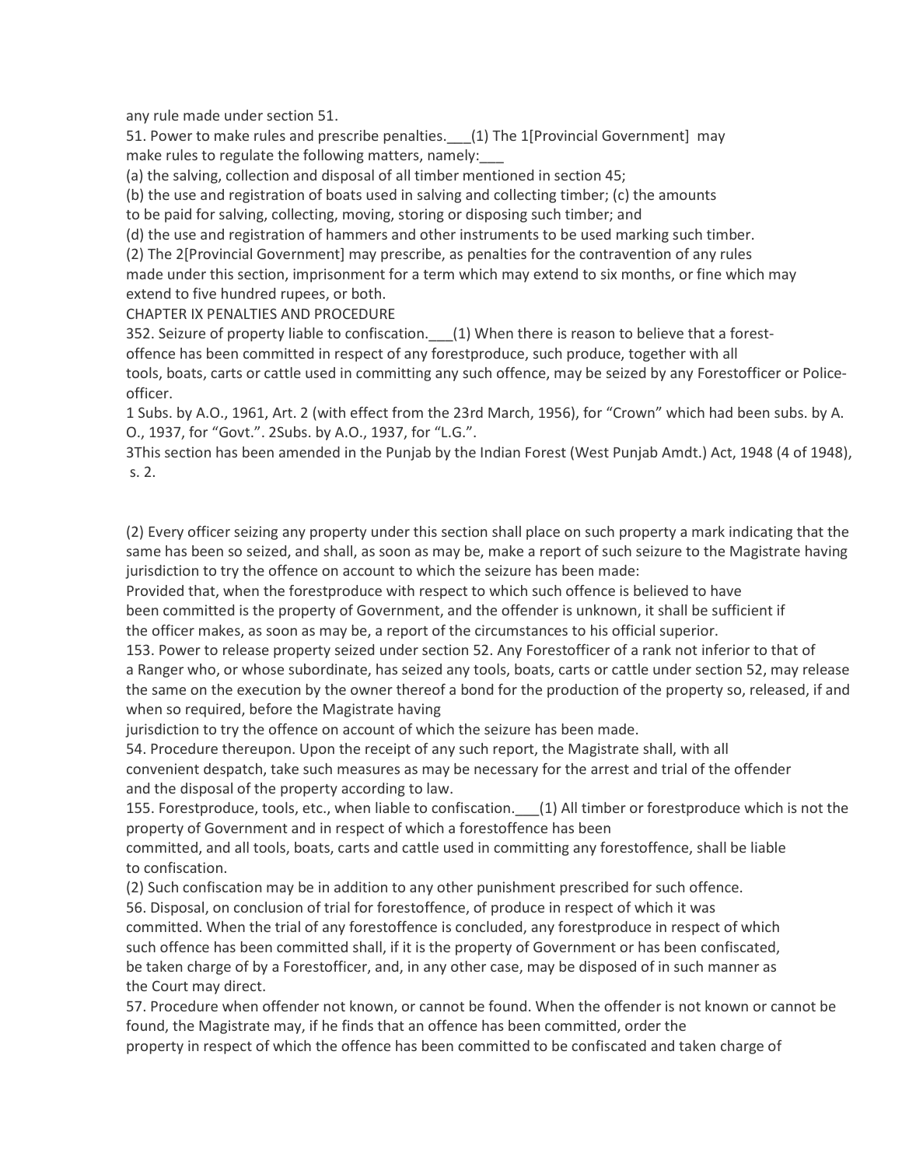any rule made under section 51.

51. Power to make rules and prescribe penalties.\_\_\_(1) The 1[Provincial Government] may make rules to regulate the following matters, namely:

(a) the salving, collection and disposal of all timber mentioned in section 45;

(b) the use and registration of boats used in salving and collecting timber; (c) the amounts

to be paid for salving, collecting, moving, storing or disposing such timber; and

(d) the use and registration of hammers and other instruments to be used marking such timber.

(2) The 2[Provincial Government] may prescribe, as penalties for the contravention of any rules made under this section, imprisonment for a term which may extend to six months, or fine which may extend to five hundred rupees, or both.

CHAPTER IX PENALTIES AND PROCEDURE

352. Seizure of property liable to confiscation. \_\_\_ (1) When there is reason to believe that a forest-

offence has been committed in respect of any forestproduce, such produce, together with all tools, boats, carts or cattle used in committing any such offence, may be seized by any Forestofficer or Policeofficer.

1 Subs. by A.O., 1961, Art. 2 (with effect from the 23rd March, 1956), for "Crown" which had been subs. by A. O., 1937, for "Govt.". 2Subs. by A.O., 1937, for "L.G.".

3This section has been amended in the Punjab by the Indian Forest (West Punjab Amdt.) Act, 1948 (4 of 1948), s. 2.

(2) Every officer seizing any property under this section shall place on such property a mark indicating that the same has been so seized, and shall, as soon as may be, make a report of such seizure to the Magistrate having jurisdiction to try the offence on account to which the seizure has been made:

Provided that, when the forestproduce with respect to which such offence is believed to have been committed is the property of Government, and the offender is unknown, it shall be sufficient if the officer makes, as soon as may be, a report of the circumstances to his official superior.

153. Power to release property seized under section 52. Any Forestofficer of a rank not inferior to that of a Ranger who, or whose subordinate, has seized any tools, boats, carts or cattle under section 52, may release the same on the execution by the owner thereof a bond for the production of the property so, released, if and when so required, before the Magistrate having

jurisdiction to try the offence on account of which the seizure has been made.

54. Procedure thereupon. Upon the receipt of any such report, the Magistrate shall, with all convenient despatch, take such measures as may be necessary for the arrest and trial of the offender and the disposal of the property according to law.

155. Forestproduce, tools, etc., when liable to confiscation. \_\_\_(1) All timber or forestproduce which is not the property of Government and in respect of which a forestoffence has been

committed, and all tools, boats, carts and cattle used in committing any forestoffence, shall be liable to confiscation.

(2) Such confiscation may be in addition to any other punishment prescribed for such offence.

56. Disposal, on conclusion of trial for forestoffence, of produce in respect of which it was committed. When the trial of any forestoffence is concluded, any forestproduce in respect of which such offence has been committed shall, if it is the property of Government or has been confiscated, be taken charge of by a Forestofficer, and, in any other case, may be disposed of in such manner as the Court may direct.

57. Procedure when offender not known, or cannot be found. When the offender is not known or cannot be found, the Magistrate may, if he finds that an offence has been committed, order the

property in respect of which the offence has been committed to be confiscated and taken charge of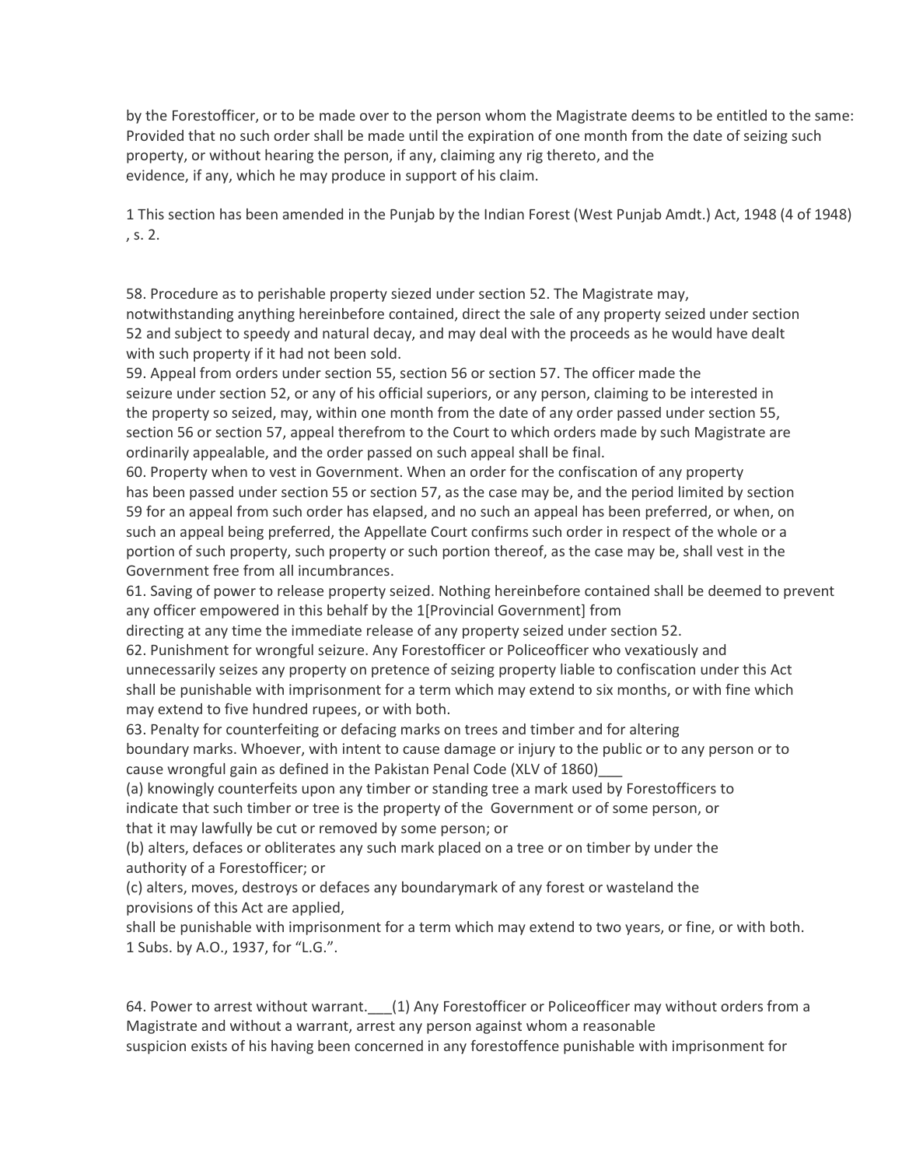by the Forestofficer, or to be made over to the person whom the Magistrate deems to be entitled to the same: Provided that no such order shall be made until the expiration of one month from the date of seizing such property, or without hearing the person, if any, claiming any rig thereto, and the evidence, if any, which he may produce in support of his claim.

1 This section has been amended in the Punjab by the Indian Forest (West Punjab Amdt.) Act, 1948 (4 of 1948) , s. 2.

58. Procedure as to perishable property siezed under section 52. The Magistrate may, notwithstanding anything hereinbefore contained, direct the sale of any property seized under section 52 and subject to speedy and natural decay, and may deal with the proceeds as he would have dealt with such property if it had not been sold.

59. Appeal from orders under section 55, section 56 or section 57. The officer made the seizure under section 52, or any of his official superiors, or any person, claiming to be interested in the property so seized, may, within one month from the date of any order passed under section 55, section 56 or section 57, appeal therefrom to the Court to which orders made by such Magistrate are ordinarily appealable, and the order passed on such appeal shall be final.

60. Property when to vest in Government. When an order for the confiscation of any property has been passed under section 55 or section 57, as the case may be, and the period limited by section 59 for an appeal from such order has elapsed, and no such an appeal has been preferred, or when, on such an appeal being preferred, the Appellate Court confirms such order in respect of the whole or a portion of such property, such property or such portion thereof, as the case may be, shall vest in the Government free from all incumbrances.

61. Saving of power to release property seized. Nothing hereinbefore contained shall be deemed to prevent any officer empowered in this behalf by the 1[Provincial Government] from

directing at any time the immediate release of any property seized under section 52.

62. Punishment for wrongful seizure. Any Forestofficer or Policeofficer who vexatiously and unnecessarily seizes any property on pretence of seizing property liable to confiscation under this Act shall be punishable with imprisonment for a term which may extend to six months, or with fine which may extend to five hundred rupees, or with both.

63. Penalty for counterfeiting or defacing marks on trees and timber and for altering boundary marks. Whoever, with intent to cause damage or injury to the public or to any person or to cause wrongful gain as defined in the Pakistan Penal Code (XLV of 1860)\_\_\_

(a) knowingly counterfeits upon any timber or standing tree a mark used by Forestofficers to indicate that such timber or tree is the property of the Government or of some person, or that it may lawfully be cut or removed by some person; or

(b) alters, defaces or obliterates any such mark placed on a tree or on timber by under the authority of a Forestofficer; or

(c) alters, moves, destroys or defaces any boundarymark of any forest or wasteland the provisions of this Act are applied,

shall be punishable with imprisonment for a term which may extend to two years, or fine, or with both. 1 Subs. by A.O., 1937, for "L.G.".

64. Power to arrest without warrant. (1) Any Forestofficer or Policeofficer may without orders from a Magistrate and without a warrant, arrest any person against whom a reasonable suspicion exists of his having been concerned in any forestoffence punishable with imprisonment for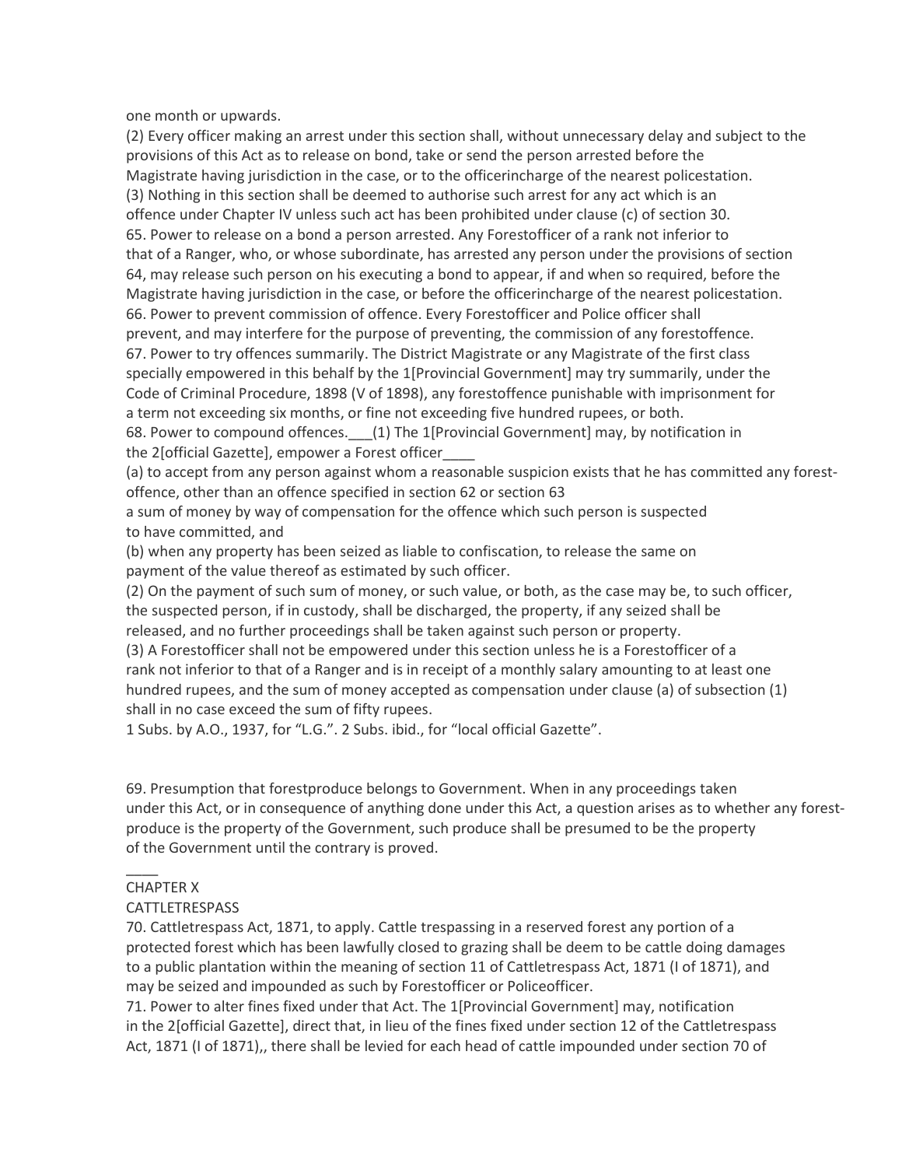one month or upwards.

(2) Every officer making an arrest under this section shall, without unnecessary delay and subject to the provisions of this Act as to release on bond, take or send the person arrested before the Magistrate having jurisdiction in the case, or to the officerincharge of the nearest policestation. (3) Nothing in this section shall be deemed to authorise such arrest for any act which is an offence under Chapter IV unless such act has been prohibited under clause (c) of section 30. 65. Power to release on a bond a person arrested. Any Forestofficer of a rank not inferior to that of a Ranger, who, or whose subordinate, has arrested any person under the provisions of section 64, may release such person on his executing a bond to appear, if and when so required, before the Magistrate having jurisdiction in the case, or before the officerincharge of the nearest policestation. 66. Power to prevent commission of offence. Every Forestofficer and Police officer shall prevent, and may interfere for the purpose of preventing, the commission of any forestoffence. 67. Power to try offences summarily. The District Magistrate or any Magistrate of the first class specially empowered in this behalf by the 1[Provincial Government] may try summarily, under the Code of Criminal Procedure, 1898 (V of 1898), any forestoffence punishable with imprisonment for a term not exceeding six months, or fine not exceeding five hundred rupees, or both. 68. Power to compound offences. (1) The 1[Provincial Government] may, by notification in

the 2[official Gazette], empower a Forest officer\_\_\_\_

(a) to accept from any person against whom a reasonable suspicion exists that he has committed any forestoffence, other than an offence specified in section 62 or section 63

a sum of money by way of compensation for the offence which such person is suspected to have committed, and

(b) when any property has been seized as liable to confiscation, to release the same on payment of the value thereof as estimated by such officer.

(2) On the payment of such sum of money, or such value, or both, as the case may be, to such officer, the suspected person, if in custody, shall be discharged, the property, if any seized shall be released, and no further proceedings shall be taken against such person or property.

(3) A Forestofficer shall not be empowered under this section unless he is a Forestofficer of a rank not inferior to that of a Ranger and is in receipt of a monthly salary amounting to at least one hundred rupees, and the sum of money accepted as compensation under clause (a) of subsection (1) shall in no case exceed the sum of fifty rupees.

1 Subs. by A.O., 1937, for "L.G.". 2 Subs. ibid., for "local official Gazette".

69. Presumption that forestproduce belongs to Government. When in any proceedings taken under this Act, or in consequence of anything done under this Act, a question arises as to whether any forestproduce is the property of the Government, such produce shall be presumed to be the property of the Government until the contrary is proved.

## CHAPTER X

 $\overline{\phantom{a}}$ 

## **CATTLETRESPASS**

70. Cattletrespass Act, 1871, to apply. Cattle trespassing in a reserved forest any portion of a protected forest which has been lawfully closed to grazing shall be deem to be cattle doing damages to a public plantation within the meaning of section 11 of Cattletrespass Act, 1871 (I of 1871), and may be seized and impounded as such by Forestofficer or Policeofficer.

71. Power to alter fines fixed under that Act. The 1[Provincial Government] may, notification in the 2[official Gazette], direct that, in lieu of the fines fixed under section 12 of the Cattletrespass Act, 1871 (I of 1871),, there shall be levied for each head of cattle impounded under section 70 of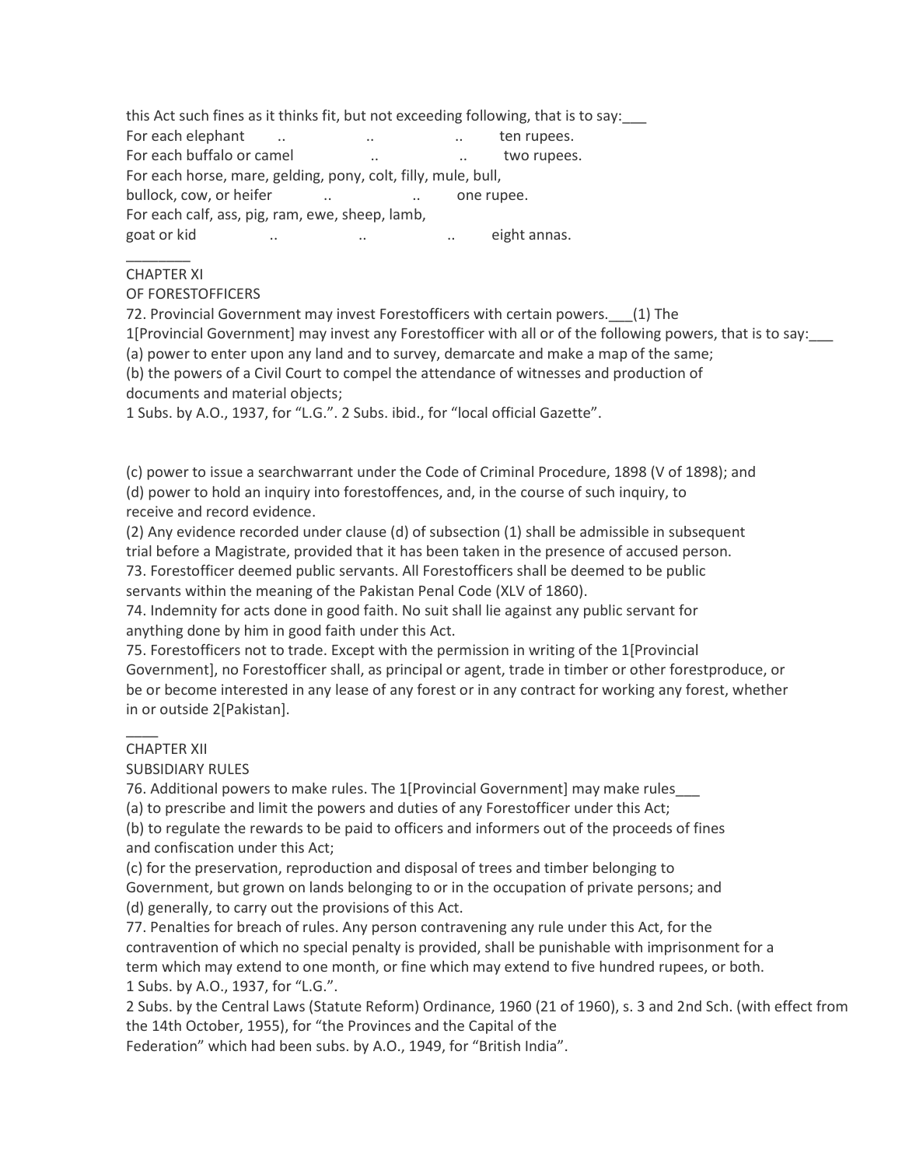this Act such fines as it thinks fit, but not exceeding following, that is to say: For each elephant ... ... ... ... ... ten rupees. For each buffalo or camel ... ... ... two rupees. For each horse, mare, gelding, pony, colt, filly, mule, bull, bullock, cow, or heifer ... ... ... one rupee. For each calf, ass, pig, ram, ewe, sheep, lamb, goat or kid  $\ldots$  ... ... ... ... ... ... ... eight annas.

#### $\overline{\phantom{a}}$ CHAPTER XI

#### OF FORESTOFFICERS

72. Provincial Government may invest Forestofficers with certain powers. (1) The

1[Provincial Government] may invest any Forestofficer with all or of the following powers, that is to say:\_\_\_

(a) power to enter upon any land and to survey, demarcate and make a map of the same;

(b) the powers of a Civil Court to compel the attendance of witnesses and production of documents and material objects;

1 Subs. by A.O., 1937, for "L.G.". 2 Subs. ibid., for "local official Gazette".

(c) power to issue a searchwarrant under the Code of Criminal Procedure, 1898 (V of 1898); and (d) power to hold an inquiry into forestoffences, and, in the course of such inquiry, to receive and record evidence.

(2) Any evidence recorded under clause (d) of subsection (1) shall be admissible in subsequent trial before a Magistrate, provided that it has been taken in the presence of accused person.

73. Forestofficer deemed public servants. All Forestofficers shall be deemed to be public servants within the meaning of the Pakistan Penal Code (XLV of 1860).

74. Indemnity for acts done in good faith. No suit shall lie against any public servant for anything done by him in good faith under this Act.

75. Forestofficers not to trade. Except with the permission in writing of the 1[Provincial Government], no Forestofficer shall, as principal or agent, trade in timber or other forestproduce, or be or become interested in any lease of any forest or in any contract for working any forest, whether in or outside 2[Pakistan].

## CHAPTER XII

 $\overline{\phantom{a}}$ 

## SUBSIDIARY RULES

76. Additional powers to make rules. The 1[Provincial Government] may make rules\_\_\_

(a) to prescribe and limit the powers and duties of any Forestofficer under this Act;

(b) to regulate the rewards to be paid to officers and informers out of the proceeds of fines and confiscation under this Act;

(c) for the preservation, reproduction and disposal of trees and timber belonging to Government, but grown on lands belonging to or in the occupation of private persons; and (d) generally, to carry out the provisions of this Act.

77. Penalties for breach of rules. Any person contravening any rule under this Act, for the contravention of which no special penalty is provided, shall be punishable with imprisonment for a term which may extend to one month, or fine which may extend to five hundred rupees, or both. 1 Subs. by A.O., 1937, for "L.G.".

2 Subs. by the Central Laws (Statute Reform) Ordinance, 1960 (21 of 1960), s. 3 and 2nd Sch. (with effect from the 14th October, 1955), for "the Provinces and the Capital of the

Federation" which had been subs. by A.O., 1949, for "British India".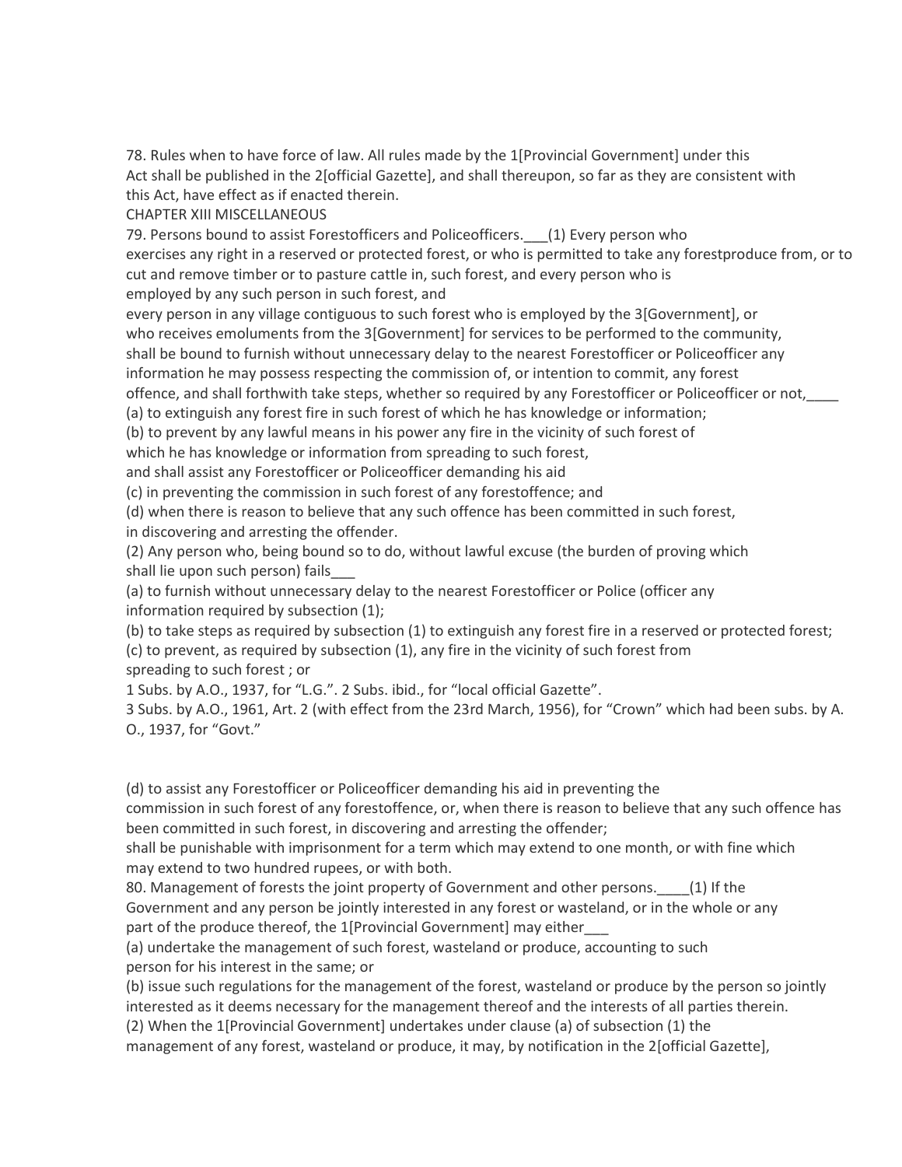78. Rules when to have force of law. All rules made by the 1[Provincial Government] under this Act shall be published in the 2[official Gazette], and shall thereupon, so far as they are consistent with this Act, have effect as if enacted therein.

CHAPTER XIII MISCELLANEOUS

79. Persons bound to assist Forestofficers and Policeofficers. (1) Every person who exercises any right in a reserved or protected forest, or who is permitted to take any forestproduce from, or to cut and remove timber or to pasture cattle in, such forest, and every person who is employed by any such person in such forest, and

every person in any village contiguous to such forest who is employed by the 3[Government], or who receives emoluments from the 3[Government] for services to be performed to the community, shall be bound to furnish without unnecessary delay to the nearest Forestofficer or Policeofficer any information he may possess respecting the commission of, or intention to commit, any forest offence, and shall forthwith take steps, whether so required by any Forestofficer or Policeofficer or not,\_\_\_\_

(a) to extinguish any forest fire in such forest of which he has knowledge or information;

(b) to prevent by any lawful means in his power any fire in the vicinity of such forest of

which he has knowledge or information from spreading to such forest,

and shall assist any Forestofficer or Policeofficer demanding his aid

(c) in preventing the commission in such forest of any forestoffence; and

(d) when there is reason to believe that any such offence has been committed in such forest,

in discovering and arresting the offender.

(2) Any person who, being bound so to do, without lawful excuse (the burden of proving which shall lie upon such person) fails\_\_\_

(a) to furnish without unnecessary delay to the nearest Forestofficer or Police (officer any information required by subsection (1);

(b) to take steps as required by subsection (1) to extinguish any forest fire in a reserved or protected forest; (c) to prevent, as required by subsection (1), any fire in the vicinity of such forest from spreading to such forest ; or

1 Subs. by A.O., 1937, for "L.G.". 2 Subs. ibid., for "local official Gazette".

3 Subs. by A.O., 1961, Art. 2 (with effect from the 23rd March, 1956), for "Crown" which had been subs. by A. O., 1937, for "Govt."

(d) to assist any Forestofficer or Policeofficer demanding his aid in preventing the commission in such forest of any forestoffence, or, when there is reason to believe that any such offence has been committed in such forest, in discovering and arresting the offender;

shall be punishable with imprisonment for a term which may extend to one month, or with fine which may extend to two hundred rupees, or with both.

80. Management of forests the joint property of Government and other persons. [1] If the Government and any person be jointly interested in any forest or wasteland, or in the whole or any part of the produce thereof, the 1[Provincial Government] may either

(a) undertake the management of such forest, wasteland or produce, accounting to such person for his interest in the same; or

(b) issue such regulations for the management of the forest, wasteland or produce by the person so jointly interested as it deems necessary for the management thereof and the interests of all parties therein.

(2) When the 1[Provincial Government] undertakes under clause (a) of subsection (1) the management of any forest, wasteland or produce, it may, by notification in the 2[official Gazette],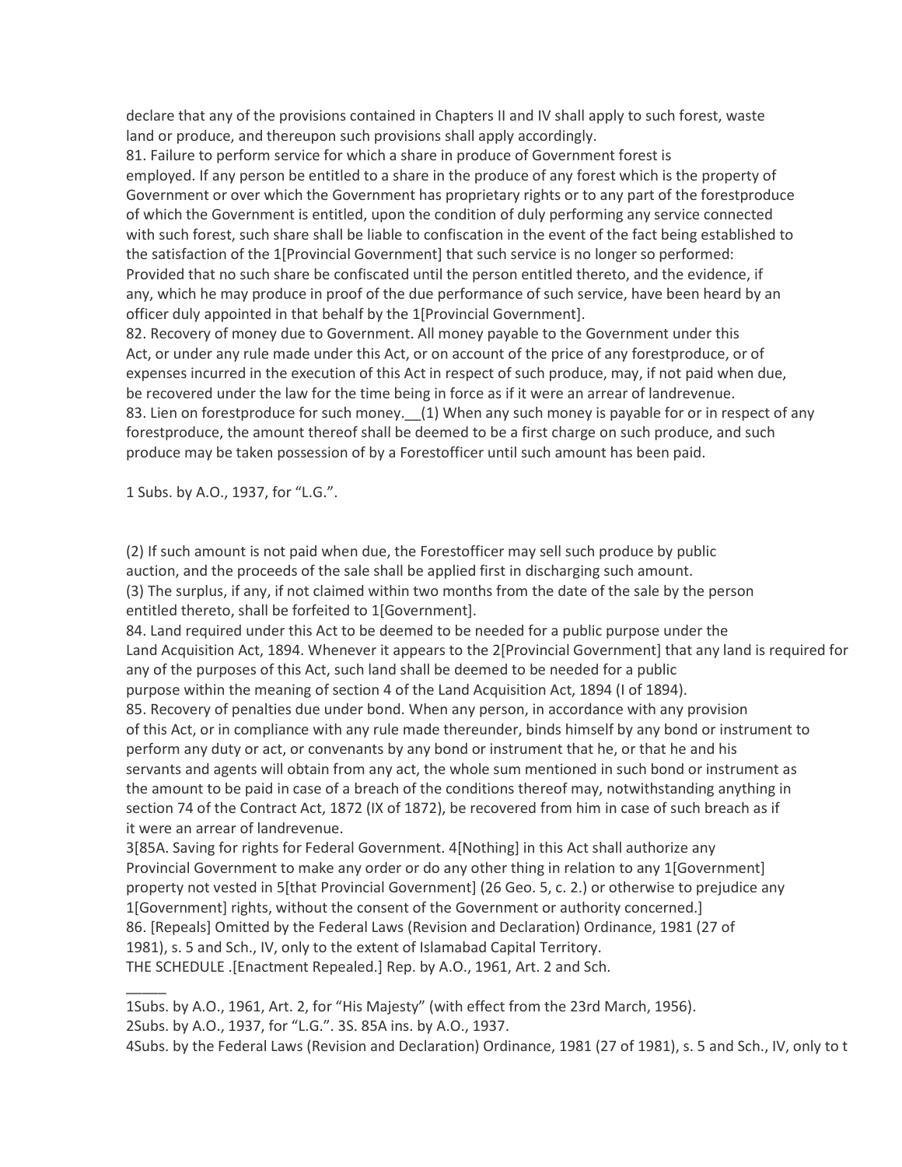declare that any of the provisions contained in Chapters II and IV shall apply to such forest, waste land or produce, and thereupon such provisions shall apply accordingly.

81. Failure to perform service for which a share in produce of Government forest is employed. If any person be entitled to a share in the produce of any forest which is the property of Government or over which the Government has proprietary rights or to any part of the forestproduce of which the Government is entitled, upon the condition of duly performing any service connected with such forest, such share shall be liable to confiscation in the event of the fact being established to the satisfaction of the 1[Provincial Government] that such service is no longer so performed: Provided that no such share be confiscated until the person entitled thereto, and the evidence, if any, which he may produce in proof of the due performance of such service, have been heard by an officer duly appointed in that behalf by the 1[Provincial Government].

82. Recovery of money due to Government. All money payable to the Government under this Act, or under any rule made under this Act, or on account of the price of any forestproduce, or of expenses incurred in the execution of this Act in respect of such produce, may, if not paid when due, be recovered under the law for the time being in force as if it were an arrear of landrevenue. 83. Lien on forestproduce for such money. (1) When any such money is payable for or in respect of any forestproduce, the amount thereof shall be deemed to be a first charge on such produce, and such produce may be taken possession of by a Forestofficer until such amount has been paid.

1 Subs. by A.O., 1937, for "L.G.".

(2) If such amount is not paid when due, the Forestofficer may sell such produce by public auction, and the proceeds of the sale shall be applied first in discharging such amount. (3) The surplus, if any, if not claimed within two months from the date of the sale by the person entitled thereto, shall be forfeited to 1[Government].

84. Land required under this Act to be deemed to be needed for a public purpose under the Land Acquisition Act, 1894. Whenever it appears to the 2[Provincial Government] that any land is required for any of the purposes of this Act, such land shall be deemed to be needed for a public purpose within the meaning of section 4 of the Land Acquisition Act, 1894 (I of 1894).

85. Recovery of penalties due under bond. When any person, in accordance with any provision of this Act, or in compliance with any rule made thereunder, binds himself by any bond or instrument to perform any duty or act, or convenants by any bond or instrument that he, or that he and his servants and agents will obtain from any act, the whole sum mentioned in such bond or instrument as the amount to be paid in case of a breach of the conditions thereof may, notwithstanding anything in section 74 of the Contract Act, 1872 (IX of 1872), be recovered from him in case of such breach as if it were an arrear of landrevenue.

3[85A. Saving for rights for Federal Government. 4[Nothing] in this Act shall authorize any Provincial Government to make any order or do any other thing in relation to any 1[Government] property not vested in 5[that Provincial Government] (26 Geo. 5, c. 2.) or otherwise to prejudice any 1[Government] rights, without the consent of the Government or authority concerned.] 86. [Repeals] Omitted by the Federal Laws (Revision and Declaration) Ordinance, 1981 (27 of 1981), s. 5 and Sch., IV, only to the extent of Islamabad Capital Territory. THE SCHEDULE .[Enactment Repealed.] Rep. by A.O., 1961, Art. 2 and Sch.

 $\overline{\phantom{a}}$ 1Subs. by A.O., 1961, Art. 2, for "His Majesty" (with effect from the 23rd March, 1956).

2Subs. by A.O., 1937, for "L.G.". 3S. 85A ins. by A.O., 1937.

4Subs. by the Federal Laws (Revision and Declaration) Ordinance, 1981 (27 of 1981), s. 5 and Sch., IV, only to t